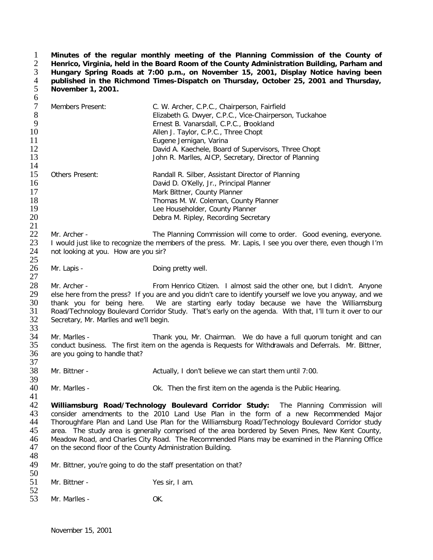**Minutes of the regular monthly meeting of the Planning Commission of the County of Henrico, Virginia, held in the Board Room of the County Administration Building, Parham and Hungary Spring Roads at 7:00 p.m., on November 15, 2001, Display Notice having been published in the Richmond Times-Dispatch on Thursday, October 25, 2001 and Thursday, November 1, 2001.**  $\frac{1}{2}$ <br> $\frac{3}{4}$ <br> $\frac{4}{5}$ <br>6

| $\tau$<br>$8\,$<br>9<br>10<br>11<br>12<br>13 | Members Present:                                                                                                                                                                                                                                                                                                                                                                                                                                                                                                                                        | C. W. Archer, C.P.C., Chairperson, Fairfield<br>Elizabeth G. Dwyer, C.P.C., Vice-Chairperson, Tuckahoe<br>Ernest B. Vanarsdall, C.P.C., Brookland<br>Allen J. Taylor, C.P.C., Three Chopt<br>Eugene Jernigan, Varina<br>David A. Kaechele, Board of Supervisors, Three Chopt<br>John R. Marlles, AICP, Secretary, Director of Planning                                                     |
|----------------------------------------------|---------------------------------------------------------------------------------------------------------------------------------------------------------------------------------------------------------------------------------------------------------------------------------------------------------------------------------------------------------------------------------------------------------------------------------------------------------------------------------------------------------------------------------------------------------|--------------------------------------------------------------------------------------------------------------------------------------------------------------------------------------------------------------------------------------------------------------------------------------------------------------------------------------------------------------------------------------------|
| 14<br>15<br>16<br>17<br>18<br>19<br>20<br>21 | Others Present:                                                                                                                                                                                                                                                                                                                                                                                                                                                                                                                                         | Randall R. Silber, Assistant Director of Planning<br>David D. O'Kelly, Jr., Principal Planner<br>Mark Bittner, County Planner<br>Thomas M. W. Coleman, County Planner<br>Lee Householder, County Planner<br>Debra M. Ripley, Recording Secretary                                                                                                                                           |
| 22<br>23<br>24<br>25                         | Mr. Archer -<br>not looking at you. How are you sir?                                                                                                                                                                                                                                                                                                                                                                                                                                                                                                    | The Planning Commission will come to order. Good evening, everyone.<br>I would just like to recognize the members of the press. Mr. Lapis, I see you over there, even though I'm                                                                                                                                                                                                           |
| 26<br>27                                     | Mr. Lapis -                                                                                                                                                                                                                                                                                                                                                                                                                                                                                                                                             | Doing pretty well.                                                                                                                                                                                                                                                                                                                                                                         |
| 28<br>29<br>30<br>31<br>32<br>33             | Mr. Archer -<br>Secretary, Mr. Marlles and we'll begin.                                                                                                                                                                                                                                                                                                                                                                                                                                                                                                 | From Henrico Citizen. I almost said the other one, but I didn't. Anyone<br>else here from the press? If you are and you didn't care to identify yourself we love you anyway, and we<br>thank you for being here. We are starting early today because we have the Williamsburg<br>Road/Technology Boulevard Corridor Study. That's early on the agenda. With that, I'll turn it over to our |
| 34<br>35<br>36<br>37                         | Mr. Marlles -<br>are you going to handle that?                                                                                                                                                                                                                                                                                                                                                                                                                                                                                                          | Thank you, Mr. Chairman. We do have a full quorum tonight and can<br>conduct business. The first item on the agenda is Requests for Withdrawals and Deferrals. Mr. Bittner,                                                                                                                                                                                                                |
| 38<br>39                                     | Mr. Bittner -                                                                                                                                                                                                                                                                                                                                                                                                                                                                                                                                           | Actually, I don't believe we can start them until 7:00.                                                                                                                                                                                                                                                                                                                                    |
| 40<br>41                                     | Mr. Marlles -                                                                                                                                                                                                                                                                                                                                                                                                                                                                                                                                           | Ok. Then the first item on the agenda is the Public Hearing.                                                                                                                                                                                                                                                                                                                               |
| 42<br>43<br>44<br>45<br>46<br>47             | Williamsburg Road/Technology Boulevard Corridor Study: The Planning Commission will<br>consider amendments to the 2010 Land Use Plan in the form of a new Recommended Major<br>Thoroughfare Plan and Land Use Plan for the Williamsburg Road/Technology Boulevard Corridor study<br>area. The study area is generally comprised of the area bordered by Seven Pines, New Kent County,<br>Meadow Road, and Charles City Road. The Recommended Plans may be examined in the Planning Office<br>on the second floor of the County Administration Building. |                                                                                                                                                                                                                                                                                                                                                                                            |
| 48<br>49                                     | Mr. Bittner, you're going to do the staff presentation on that?                                                                                                                                                                                                                                                                                                                                                                                                                                                                                         |                                                                                                                                                                                                                                                                                                                                                                                            |
| 50<br>51<br>52                               | Mr. Bittner -                                                                                                                                                                                                                                                                                                                                                                                                                                                                                                                                           | Yes sir, I am.                                                                                                                                                                                                                                                                                                                                                                             |
| 53                                           | Mr. Marlles -                                                                                                                                                                                                                                                                                                                                                                                                                                                                                                                                           | OK.                                                                                                                                                                                                                                                                                                                                                                                        |
|                                              |                                                                                                                                                                                                                                                                                                                                                                                                                                                                                                                                                         |                                                                                                                                                                                                                                                                                                                                                                                            |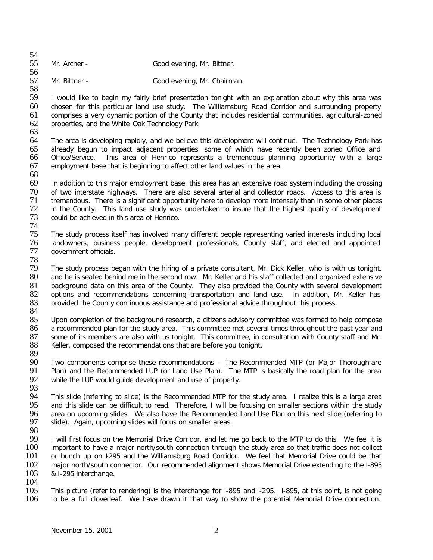| 54 |              |                            |
|----|--------------|----------------------------|
| 55 | Mr. Archer - | Good evening, Mr. Bittner. |
| 56 |              |                            |

57 Mr. Bittner - Good evening, Mr. Chairman.

58 I would like to begin my fairly brief presentation tonight with an explanation about why this area was 60 chosen for this particular land use study. The Williamsburg Road Corridor and surrounding property 61 comprises a very dynamic portion of the County that includes residential communities, agricultural-zoned 62 properties, and the White Oak Technology Park.

63 64 The area is developing rapidly, and we believe this development will continue. The Technology Park has<br>65 already begun to impact adiacent properties, some of which have recently been zoned Office and already begun to impact adjacent properties, some of which have recently been zoned Office and 66 Office/Service. This area of Henrico represents a tremendous planning opportunity with a large 67 employment base that is beginning to affect other land values in the area.

68 69 In addition to this major employment base, this area has an extensive road system including the crossing 70 of two interstate highways. There are also several arterial and collector roads. Access to this area is<br>71 tremendous. There is a significant opportunity here to develop more intensely than in some other places 71 tremendous. There is a significant opportunity here to develop more intensely than in some other places<br>72 in the County. This land use study was undertaken to insure that the highest quality of development 72 in the County. This land use study was undertaken to insure that the highest quality of development 73 could be achieved in this area of Henrico. could be achieved in this area of Henrico.

- 74<br>75 75 The study process itself has involved many different people representing varied interests including local 76 landowners, business people, development professionals, County staff, and elected and appointed government officials.
- 

78 79 The study process began with the hiring of a private consultant, Mr. Dick Keller, who is with us tonight, and he is seated behind me in the second row. Mr. Keller and his staff collected and organized extensive 81 background data on this area of the County. They also provided the County with several development<br>82 options and recommendations concerning transportation and land use. In addition, Mr. Keller has 82 options and recommendations concerning transportation and land use. In addition, Mr. Keller has 83 provided the County continuous assistance and professional advice throughout this process. provided the County continuous assistance and professional advice throughout this process.

84<br>85 Upon completion of the background research, a citizens advisory committee was formed to help compose 86 a recommended plan for the study area. This committee met several times throughout the past year and Nr.<br>87 some of its members are also with us tonight. This committee, in consultation with County staff and Mr. some of its members are also with us tonight. This committee, in consultation with County staff and Mr. 88 Keller, composed the recommendations that are before you tonight.

89

90 Two components comprise these recommendations – The Recommended MTP (or Major Thoroughfare<br>91 Plan) and the Recommended LUP (or Land Use Plan). The MTP is basically the road plan for the area Plan) and the Recommended LUP (or Land Use Plan). The MTP is basically the road plan for the area 92 while the LUP would guide development and use of property.

93<br>94

94 This slide (referring to slide) is the Recommended MTP for the study area. I realize this is a large area<br>95 and this slide can be difficult to read. Therefore, I will be focusing on smaller sections within the study 95 and this slide can be difficult to read. Therefore, I will be focusing on smaller sections within the study<br>96 area on upcoming slides. We also have the Recommended Land Use Plan on this next slide (referring to 96 area on upcoming slides. We also have the Recommended Land Use Plan on this next slide (referring to 97 slide). Again, upcoming slides will focus on smaller areas. slide). Again, upcoming slides will focus on smaller areas.

98

99 I will first focus on the Memorial Drive Corridor, and let me go back to the MTP to do this. We feel it is<br>100 important to have a major north/south connection through the study area so that traffic does not collect 100 important to have a major north/south connection through the study area so that traffic does not collect<br>101 or bunch up on 1295 and the Williamsburg Road Corridor. We feel that Memorial Drive could be that or bunch up on I-295 and the Williamsburg Road Corridor. We feel that Memorial Drive could be that 102 major north/south connector. Our recommended alignment shows Memorial Drive extending to the I-895<br>103 & I-295 interchange. & I-295 interchange.

 $\frac{104}{105}$ 105 This picture (refer to rendering) is the interchange for I-895 and I-295. I-895, at this point, is not going<br>106 to be a full cloverleaf. We have drawn it that way to show the potential Memorial Drive connection. to be a full cloverleaf. We have drawn it that way to show the potential Memorial Drive connection.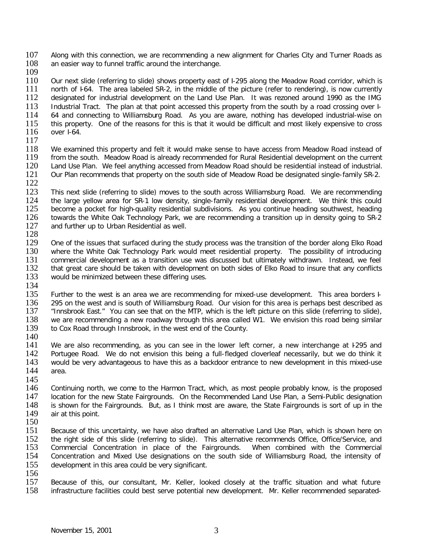107 Along with this connection, we are recommending a new alignment for Charles City and Turner Roads as 108 an easier way to funnel traffic around the interchange. an easier way to funnel traffic around the interchange.

 $\frac{109}{110}$ 

110 Our next slide (referring to slide) shows property east of I-295 along the Meadow Road corridor, which is<br>111 north of 164. The area labeled SR-2, in the middle of the picture (refer to rendering), is now currently 111 north of F64. The area labeled SR-2, in the middle of the picture (refer to rendering), is now currently<br>112 designated for industrial development on the Land Use Plan. It was rezoned around 1990 as the IMG 112 designated for industrial development on the Land Use Plan. It was rezoned around 1990 as the IMG<br>113 Industrial Tract. The plan at that point accessed this property from the south by a road crossing over I-113 Industrial Tract. The plan at that point accessed this property from the south by a road crossing over I-<br>114 64 and connecting to Williamsburg Road. As you are aware, nothing has developed industrial-wise on 114 64 and connecting to Williamsburg Road. As you are aware, nothing has developed industrial-wise on 115 this property. One of the reasons for this is that it would be difficult and most likely expensive to cross 115 this property. One of the reasons for this is that it would be difficult and most likely expensive to cross 116 over 1-64. over I-64.

 $\frac{117}{118}$ 

118 We examined this property and felt it would make sense to have access from Meadow Road instead of 119 from the south. Meadow Road is already recommended for Rural Residential development on the current 119 from the south. Meadow Road is already recommended for Rural Residential development on the current 120 Land Use Plan. We feel anything accessed from Meadow Road should be residential instead of industrial. 120 Land Use Plan. We feel anything accessed from Meadow Road should be residential instead of industrial.<br>121 Our Plan recommends that property on the south side of Meadow Road be designated single-family SR-2. Our Plan recommends that property on the south side of Meadow Road be designated single-family SR-2.

 $\frac{122}{123}$ 

123 This next slide (referring to slide) moves to the south across Williamsburg Road. We are recommending 124 the large vellow area for SR-1 low density, single-family residential development. We think this could 124 the large yellow area for SR-1 low density, single-family residential development. We think this could 125 become a pocket for high-quality residential subdivisions. As you continue heading southwest, heading 125 become a pocket for high-quality residential subdivisions. As you continue heading southwest, heading 126 towards the White Oak Technology Park, we are recommending a transition up in density going to SR-2 126 towards the White Oak Technology Park, we are recommending a transition up in density going to SR-2<br>127 and further up to Urban Residential as well. and further up to Urban Residential as well.

 $\frac{128}{129}$ 

129 One of the issues that surfaced during the study process was the transition of the border along Elko Road<br>130 where the White Oak Technology Park would meet residential property. The possibility of introducing where the White Oak Technology Park would meet residential property. The possibility of introducing 131 commercial development as a transition use was discussed but ultimately withdrawn. Instead, we feel<br>132 that great care should be taken with development on both sides of Elko Road to insure that any conflicts 132 that great care should be taken with development on both sides of Elko Road to insure that any conflicts would be minimized between these differing uses. would be minimized between these differing uses.

- 134<br>135 135 Further to the west is an area we are recommending for mixed-use development. This area borders F<br>136 295 on the west and is south of Williamsburg Road. Our vision for this area is perhaps best described as 136 295 on the west and is south of Williamsburg Road. Our vision for this area is perhaps best described as 137 "Innsbrook East." You can see that on the MTP, which is the left picture on this slide (referring to slide), <sup>137</sup> "Innsbrook East." You can see that on the MTP, which is the left picture on this slide (referring to slide),<br>138 we are recommending a new roadway through this area called W1. We envision this road being similar 138 we are recommending a new roadway through this area called W1. We envision this road being similar 139 to Cox Road through Innsbrook, in the west end of the County. to Cox Road through Innsbrook, in the west end of the County.
- 140

141 We are also recommending, as you can see in the lower left corner, a new interchange at 1295 and 142 Portugee Road. We do not envision this being a full-fledged cloverleaf necessarily, but we do think it 142 Portugee Road. We do not envision this being a full-fledged cloverleaf necessarily, but we do think it 143 would be very advantageous to have this as a backdoor entrance to new development in this mixed-use would be very advantageous to have this as a backdoor entrance to new development in this mixed-use 144 area.

145<br>146

146 Continuing north, we come to the Harmon Tract, which, as most people probably know, is the proposed 147 Iocation for the new State Fairgrounds. On the Recommended Land Use Plan, a Semi-Public designation 147 location for the new State Fairgrounds. On the Recommended Land Use Plan, a Semi-Public designation 148 is shown for the Fairgrounds. But, as I think most are aware, the State Fairgrounds is sort of up in the 148 is shown for the Fairgrounds. But, as I think most are aware, the State Fairgrounds is sort of up in the 149 air at this point. air at this point.

- $\frac{150}{151}$ 151 Because of this uncertainty, we have also drafted an alternative Land Use Plan, which is shown here on 152 the right side of this slide (referring to slide). This alternative recommends Office, Office/Service, and 152 the right side of this slide (referring to slide). This alternative recommends Office, Office/Service, and<br>153 Commercial Concentration in place of the Fairgrounds. When combined with the Commercial 153 Commercial Concentration in place of the Fairgrounds. When combined with the Commercial<br>154 Concentration and Mixed Use designations on the south side of Williamsburg Road, the intensity of Concentration and Mixed Use designations on the south side of Williamsburg Road, the intensity of 155 development in this area could be very significant.
- 

156<br>157 157 Because of this, our consultant, Mr. Keller, looked closely at the traffic situation and what future 158 infrastructure facilities could best serve potential new development. Mr. Keller recommended separatedinfrastructure facilities could best serve potential new development. Mr. Keller recommended separated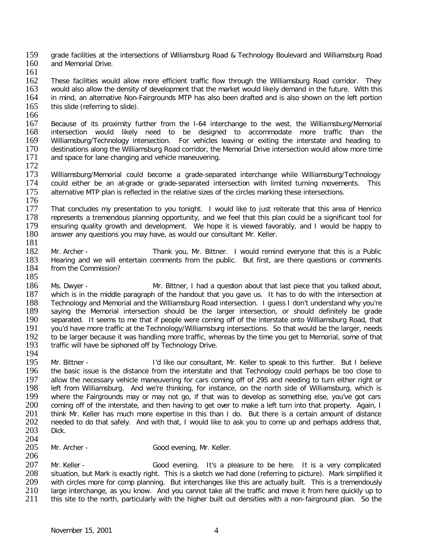159 grade facilities at the intersections of Williamsburg Road & Technology Boulevard and Williamsburg Road<br>160 and Memorial Drive. and Memorial Drive.

161

162 These facilities would allow more efficient traffic flow through the Williamsburg Road corridor. They<br>163 would also allow the density of development that the market would likely demand in the future. With this 163 would also allow the density of development that the market would likely demand in the future. With this<br>164 in mind, an alternative Non-Fairgrounds MTP has also been drafted and is also shown on the left portion in mind, an alternative Non-Fairgrounds MTP has also been drafted and is also shown on the left portion 165 this slide (referring to slide).

166

167 Because of its proximity further from the I-64 interchange to the west, the Williamsburg/Memorial 168 intersection would likely need to be designed to accommodate more traffic than the<br>169 Williamsburg/Technology intersection. For vehicles leaving or exiting the interstate and heading to 169 Williamsburg/Technology intersection. For vehicles leaving or exiting the interstate and heading to 170 destinations along the Williamsburg Road corridor, the Memorial Drive intersection would allow more time 170 destinations along the Williamsburg Road corridor, the Memorial Drive intersection would allow more time<br>171 and space for lane changing and vehicle maneuvering. and space for lane changing and vehicle maneuvering.

 $\frac{172}{173}$ 173 Williamsburg/Memorial could become a grade-separated interchange while Williamsburg/Technology<br>174 could either be an at-grade or grade-separated intersection with limited turning movements. This could either be an at-grade or grade-separated intersection with limited turning movements. This 175 alternative MTP plan is reflected in the relative sizes of the circles marking these intersections.

176<br>177 177 That concludes my presentation to you tonight. I would like to just reiterate that this area of Henrico<br>178 Ferresents a tremendous planning opportunity, and we feel that this plan could be a significant tool for 178 represents a tremendous planning opportunity, and we feel that this plan could be a significant tool for<br>179 ensuring quality growth and development. We hope it is viewed favorably, and I would be happy to 179 ensuring quality growth and development. We hope it is viewed favorably, and I would be happy to 180 answer any questions vou may have, as would our consultant Mr. Keller. answer any questions you may have, as would our consultant Mr. Keller.

- 181 Mr. Archer - Thank you, Mr. Bittner. I would remind everyone that this is a Public 183 Hearing and we will entertain comments from the public. But first, are there questions or comments 184 from the Commission? from the Commission? 185
- 186 Ms. Dwyer Mr. Bittner, I had a question about that last piece that you talked about,<br>187 which is in the middle paragraph of the handout that you gave us. It has to do with the intersection at 187 which is in the middle paragraph of the handout that you gave us. It has to do with the intersection at 188 Technology and Memorial and the Williamsburg Road intersection. I quess I don't understand why you're 188 Technology and Memorial and the Williamsburg Road intersection. I guess I don't understand why you're 189 saving the Memorial intersection should be the larger intersection, or should definitely be grade 189 saying the Memorial intersection should be the larger intersection, or should definitely be grade<br>190 separated. It seems to me that if people were coming off of the interstate onto Williamsburg Road, that 190 separated. It seems to me that if people were coming off of the interstate onto Williamsburg Road, that 191 vou'd have more traffic at the Technology/Williamsburg intersections. So that would be the larger, needs 191 you'd have more traffic at the Technology/Williamsburg intersections. So that would be the larger, needs<br>192 to be larger because it was handling more traffic, whereas by the time you get to Memorial, some of that 192 to be larger because it was handling more traffic, whereas by the time you get to Memorial, some of that 193 traffic will have be siphoned off by Technology Drive. traffic will have be siphoned off by Technology Drive.
- 194<br>195

195 Mr. Bittner - I'd like our consultant, Mr. Keller to speak to this further. But I believe<br>196 the basic issue is the distance from the interstate and that Technology could perhaps be too close to 196 the basic issue is the distance from the interstate and that Technology could perhaps be too close to 197 allow the necessary vehicle maneuvering for cars coming off of 295 and needing to turn either right or 198 left from Williamsburg. And we're thinking, for instance, on the north side of Williamsburg, which is 198 left from Williamsburg. And we're thinking, for instance, on the north side of Williamsburg, which is vertilians where the Fairgrounds may or may not go, if that was to develop as something else, you've got cars 199 where the Fairgrounds may or may not go, if that was to develop as something else, you've got cars<br>200 coming off of the interstate, and then having to get over to make a left turn into that property. Again, I 200 coming off of the interstate, and then having to get over to make a left turn into that property. Again, I<br>201 think Mr. Keller has much more expertise in this than I do. But there is a certain amount of distance 201 think Mr. Keller has much more expertise in this than I do. But there is a certain amount of distance<br>202 needed to do that safely. And with that, I would like to ask you to come up and perhaps address that, 202 needed to do that safely. And with that, I would like to ask you to come up and perhaps address that, 203 Dick. Dick.

 $\frac{204}{205}$ 

Mr. Archer - Good evening, Mr. Keller. 206

207 Mr. Keller - Good evening. It's a pleasure to be here. It is a very complicated Situation, but Mark is exactly right. This is a sketch we had done (referring to picture). Mark simplified it 208 situation, but Mark is exactly right. This is a sketch we had done (referring to picture). Mark simplified it<br>209 with circles more for comp planning. But interchanges like this are actually built. This is a tremendous 209 with circles more for comp planning. But interchanges like this are actually built. This is a tremendously<br>210 large interchange, as you know. And you cannot take all the traffic and move it from here quickly up to 210 large interchange, as you know. And you cannot take all the traffic and move it from here quickly up to 211 this site to the north, particularly with the higher built out densities with a non-fairground plan. So the 211 this site to the north, particularly with the higher built out densities with a non-fairground plan. So the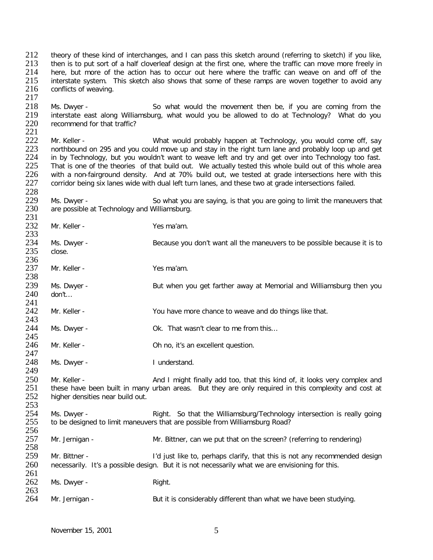212 theory of these kind of interchanges, and I can pass this sketch around (referring to sketch) if you like,<br>213 then is to put sort of a half cloverleaf design at the first one, where the traffic can move more freely in 213 then is to put sort of a half cloverleaf design at the first one, where the traffic can move more freely in<br>214 here, but more of the action has to occur out here where the traffic can weave on and off of the here, but more of the action has to occur out here where the traffic can weave on and off of the 215 interstate system. This sketch also shows that some of these ramps are woven together to avoid any conflicts of weaving. conflicts of weaving. 217

218 Ms. Dwyer - So what would the movement then be, if you are coming from the<br>219 interstate east along Williamsburg, what would you be allowed to do at Technology? What do you 219 interstate east along Williamsburg, what would you be allowed to do at Technology? What do you recommend for that traffic?

221 222 Mr. Keller - What would probably happen at Technology, you would come off, say<br>223 northbound on 295 and you could move up and stay in the right turn lane and probably loop up and get 223 northbound on 295 and you could move up and stay in the right turn lane and probably loop up and get 224 in by Technology, but you wouldn't want to weave left and try and get over into Technology too fast. 224 in by Technology, but you wouldn't want to weave left and try and get over into Technology too fast.<br>225 That is one of the theories of that build out. We actually tested this whole build out of this whole area 225 That is one of the theories of that build out. We actually tested this whole build out of this whole area<br>226 with a non-fairground density. And at 70% build out, we tested at grade intersections here with this 226 with a non-fairground density. And at 70% build out, we tested at grade intersections here with this 227 corridor being six lanes wide with dual left turn lanes, and these two at grade intersections failed. corridor being six lanes wide with dual left turn lanes, and these two at grade intersections failed.

228<br>229 229 Ms. Dwyer - So what you are saying, is that you are going to limit the maneuvers that 230 are possible at Technology and Williamsburg. are possible at Technology and Williamsburg.

231<br>232 Mr. Keller - Yes ma'am. 233<br>234 234 Ms. Dwyer - Because you don't want all the maneuvers to be possible because it is to 235 close. close.

236<br>237 Mr. Keller - Yes ma'am.

238<br>239 239 Ms. Dwyer - Sut when you get farther away at Memorial and Williamsburg then you<br>240 don't... don't…

241<br>242 Mr. Keller - The State of You have more chance to weave and do things like that.

243<br>244 Ms. Dwyer - **Ok.** That wasn't clear to me from this...

245<br>246 Mr. Keller - Chino, it's an excellent question.

247<br>248 Ms. Dwyer - I understand. 249

250 Mr. Keller - And I might finally add too, that this kind of, it looks very complex and 251 these have been built in many urban areas. But they are only required in this complexity and cost at 251 these have been built in many urban areas. But they are only required in this complexity and cost at 252 higher densities near build out. higher densities near build out.

 $\frac{253}{254}$ 254 Ms. Dwyer - Right. So that the Williamsburg/Technology intersection is really going<br>255 to be designed to limit maneuvers that are possible from Williamsburg Road? to be designed to limit maneuvers that are possible from Williamsburg Road?

256<br>257 Mr. Jernigan - Mr. Bittner, can we put that on the screen? (referring to rendering) 258<br>259 Mr. Bittner - The Community of the total perhaps clarify, that this is not any recommended design 260 necessarily. It's a possible design. But it is not necessarily what we are envisioning for this.  $\frac{261}{262}$ Ms. Dwyer - Right. 263<br>264

Mr. Jernigan - But it is considerably different than what we have been studying.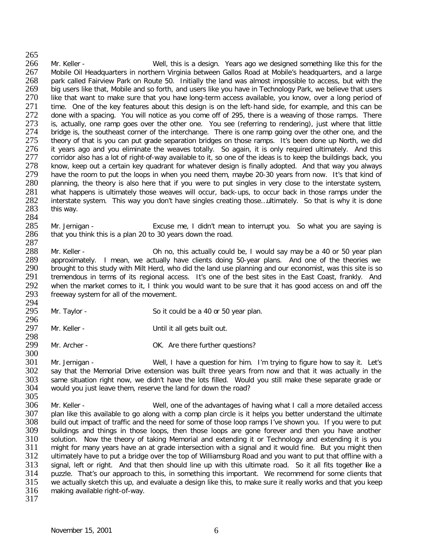265<br>266 266 Mr. Keller - Well, this is a design. Years ago we designed something like this for the 267 Mobile Oil Headquarters in northern Virginia between Gallos Road at Mobile's headquarters, and a large 267 Mobile Oil Headquarters in northern Virginia between Gallos Road at Mobile's headquarters, and a large 268 park called Fairview Park on Route 50. Initially the land was almost impossible to access, but with the 269 big users like that, Mobile and so forth, and users like vou have in Technology Park, we believe that users 269 big users like that, Mobile and so forth, and users like you have in Technology Park, we believe that users<br>270 like that want to make sure that you have long-term access available, you know, over a long period of 270 like that want to make sure that you have long-term access available, you know, over a long period of 271 time. One of the key features about this design is on the left-hand side, for example, and this can be 271 time. One of the key features about this design is on the left-hand side, for example, and this can be 272 done with a spacing. You will notice as you come off of 295, there is a weaving of those ramps. There 272 done with a spacing. You will notice as you come off of 295, there is a weaving of those ramps. There 273 is, actually, one ramp goes over the other one. You see (referring to rendering), just where that little 273 is, actually, one ramp goes over the other one. You see (referring to rendering), just where that little 274 bridge is, the southeast corner of the interchange. There is one ramp going over the other one, and the 274 bridge is, the southeast corner of the interchange. There is one ramp going over the other one, and the 275 theory of that is you can put grade separation bridges on those ramps. It's been done up North, we did 275 theory of that is you can put grade separation bridges on those ramps. It's been done up North, we did<br>276 it vears ago and you eliminate the weaves totally. So again, it is only reguired ultimately. And this 276 it years ago and you eliminate the weaves totally. So again, it is only required ultimately. And this 277 corridor also has a lot of right-of-way available to it, so one of the ideas is to keep the buildings back, you 277 corridor also has a lot of right-of-way available to it, so one of the ideas is to keep the buildings back, you<br>278 know, keep out a certain key quadrant for whatever design is finally adopted. And that way you always 278 know, keep out a certain key quadrant for whatever design is finally adopted. And that way you always<br>279 have the room to put the loops in when you need them, maybe 20-30 years from now. It's that kind of 279 have the room to put the loops in when you need them, maybe 20-30 years from now. It's that kind of 280 planning, the theory is also here that if you were to put singles in very close to the interstate system, planning, the theory is also here that if you were to put singles in very close to the interstate system, 281 what happens is ultimately those weaves will occur, back-ups, to occur back in those ramps under the 282 interstate system. This way you don't have singles creating those...ultimately. So that is why it is done 282 interstate system. This way you don't have singles creating those...ultimately. So that is why it is done 283 this way. this way.

284<br>285 285 Mr. Jernigan - Excuse me, I didn't mean to interrupt you. So what you are saying is 286 that you think this is a plan 20 to 30 years down the road. that you think this is a plan 20 to 30 years down the road.

 $\frac{287}{288}$ Mr. Keller - Charlotter on this actually could be, I would say may be a 40 or 50 year plan 289 approximately. I mean, we actually have clients doing 50-year plans. And one of the theories we<br>290 brought to this study with Milt Herd, who did the land use planning and our economist, was this site is so 290 brought to this study with Milt Herd, who did the land use planning and our economist, was this site is so<br>291 tremendous in terms of its regional access. It's one of the best sites in the East Coast, frankly. And 291 tremendous in terms of its regional access. It's one of the best sites in the East Coast, frankly. And 292 when the market comes to it, I think you would want to be sure that it has good access on and off the 293 freeway system for all of the movement. freeway system for all of the movement.

- 294<br>295 Mr. Taylor - So it could be a 40 or 50 year plan.
- 296<br>297 Mr. Keller - Until it all gets built out.
- 298 Mr. Archer - Case Communications Communications of Mr. Are there further questions?

300<br>301 301 Mr. Jernigan - Well, I have a question for him. I'm trying to figure how to say it. Let's<br>302 say that the Memorial Drive extension was built three years from now and that it was actually in the say that the Memorial Drive extension was built three years from now and that it was actually in the 303 same situation right now, we didn't have the lots filled. Would you still make these separate grade or 304 vould you just leave them, reserve the land for down the road? would you just leave them, reserve the land for down the road?

305<br>306 306 Mr. Keller - Well, one of the advantages of having what I call a more detailed access<br>307 blan like this available to go along with a comp plan circle is it helps you better understand the ultimate 307 plan like this available to go along with a comp plan circle is it helps you better understand the ultimate<br>308 build out impact of traffic and the need for some of those loop ramps I've shown you. If you were to put 308 build out impact of traffic and the need for some of those loop ramps I've shown you. If you were to put 309 buildings and things in those loops, then those loops are gone forever and then you have another 309 buildings and things in those loops, then those loops are gone forever and then you have another 310 solution. Now the theory of taking Memorial and extending it or Technology and extending it is you 310 solution. Now the theory of taking Memorial and extending it or Technology and extending it is you<br>311 might for many years have an at grade intersection with a signal and it would fine. But you might then 311 might for many years have an at grade intersection with a signal and it would fine. But you might then 312 ultimately have to put a bridge over the top of Williamsburg Road and you want to put that offline with a ultimately have to put a bridge over the top of Williamsburg Road and you want to put that offline with a 313 signal, left or right. And that then should line up with this ultimate road. So it all fits together like a<br>314 puzzle. That's our approach to this, in something this important. We recommend for some clients that 314 puzzle. That's our approach to this, in something this important. We recommend for some clients that 315 we actually sketch this up, and evaluate a design like this. to make sure it really works and that you keep 315 we actually sketch this up, and evaluate a design like this, to make sure it really works and that you keep<br>316 making available right-of-way. making available right-of-way.

317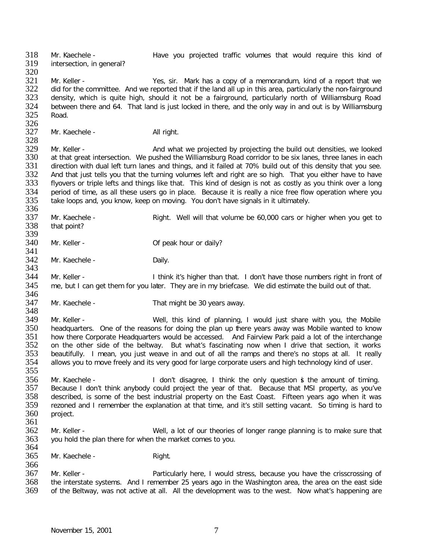318 Mr. Kaechele - <br>319 intersection in general? Have you projected traffic volumes that would require this kind of intersection, in general? 320<br>321 321 Mr. Keller - Yes, sir. Mark has a copy of a memorandum, kind of a report that we<br>322 did for the committee. And we reported that if the land all up in this area, particularly the non-fairground 322 did for the committee. And we reported that if the land all up in this area, particularly the non-fairground<br>323 density, which is quite high, should it not be a fairground, particularly north of Williamsburg Road 323 density, which is quite high, should it not be a fairground, particularly north of Williamsburg Road<br>324 between there and 64. That land is just locked in there, and the only way in and out is by Williamsburg 324 between there and 64. That land is just locked in there, and the only way in and out is by Williamsburg 325 Road. Road. 326<br>327 Mr. Kaechele - All right. 328<br>329 329 Mr. Keller - And what we projected by projecting the build out densities, we looked 330 at that great intersection. We pushed the Williamsburg Road corridor to be six lanes, three lanes in each 330 at that great intersection. We pushed the Williamsburg Road corridor to be six lanes, three lanes in each<br>331 direction with dual left turn lanes and things, and it failed at 70% build out of this density that you see. 331 direction with dual left turn lanes and things, and it failed at 70% build out of this density that you see.<br>332 And that just tells you that the turning volumes left and right are so high. That you either have to have 332 And that just tells you that the turning volumes left and right are so high. That you either have to have<br>333 flyovers or triple lefts and things like that. This kind of design is not as costly as you think over a long 333 flyovers or triple lefts and things like that. This kind of design is not as costly as you think over a long<br>334 period of time, as all these users go in place. Because it is really a nice free flow operation where you 334 period of time, as all these users go in place. Because it is really a nice free flow operation where you<br>335 take loops and, you know, keep on moving. You don't have signals in it ultimately. take loops and, you know, keep on moving. You don't have signals in it ultimately. 336<br>337 337 Mr. Kaechele - Right. Well will that volume be 60,000 cars or higher when you get to 338 that point? that point? 339<br>340 Mr. Keller - Of peak hour or daily? 341<br>342 Mr. Kaechele - Daily. 343<br>344 Mr. Keller - Think it's higher than that. I don't have those numbers right in front of 345 me, but I can get them for you later. They are in my briefcase. We did estimate the build out of that. 346<br>347 Mr. Kaechele - That might be 30 years away. 348<br>349 349 Mr. Keller - Well, this kind of planning, I would just share with you, the Mobile 350 headquarters. One of the reasons for doing the plan up there years away was Mobile wanted to know headquarters. One of the reasons for doing the plan up there years away was Mobile wanted to know 351 how there Corporate Headquarters would be accessed. And Fairview Park paid a lot of the interchange 352 on the other side of the beltway. But what's fascinating now when I drive that section, it works<br>353 beautifully. I mean, you just weave in and out of all the ramps and there's no stops at all. It really 353 beautifully. I mean, you just weave in and out of all the ramps and there's no stops at all. It really 354 allows vou to move freely and its very good for large corporate users and high technology kind of user. allows you to move freely and its very good for large corporate users and high technology kind of user. 355 356 Mr. Kaechele - I don't disagree, I think the only question is the amount of timing.<br>357 Because I don't think anybody could project the year of that. Because that MSI property, as you've 357 Because I don't think anybody could project the year of that. Because that MSI property, as you've 358 described, is some of the best industrial property on the East Coast. Fifteen years ago when it was 358 described, is some of the best industrial property on the East Coast. Fifteen years ago when it was 359 rezoned and I remember the explanation at that time, and it's still setting vacant. So timing is hard to 359 rezoned and I remember the explanation at that time, and it's still setting vacant. So timing is hard to 360 project. project. 361 362 Mr. Keller - Well, a lot of our theories of longer range planning is to make sure that 363 vou hold the plan there for when the market comes to you. you hold the plan there for when the market comes to you. 364<br>365 Mr. Kaechele - Right. 366 367 Mr. Keller - Particularly here, I would stress, because you have the crisscrossing of 368 the interstate systems. And I remember 25 years ago in the Washington area, the area on the east side 368 the interstate systems. And I remember 25 years ago in the Washington area, the area on the east side<br>369 of the Beltway, was not active at all. All the development was to the west. Now what's happening are of the Beltway, was not active at all. All the development was to the west. Now what's happening are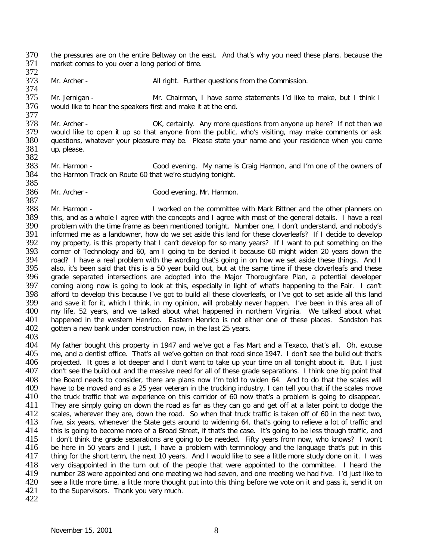370 the pressures are on the entire Beltway on the east. And that's why you need these plans, because the 371 market comes to you over a long period of time. market comes to you over a long period of time.

372<br>373

Mr. Archer - All right. Further questions from the Commission.

374<br>375 Mr. Jernigan - Mr. Chairman, I have some statements I'd like to make, but I think I 376 would like to hear the speakers first and make it at the end.

377<br>378 378 Mr. Archer - CK, certainly. Any more questions from anyone up here? If not then we<br>379 would like to open it up so that anyone from the public, who's visiting, may make comments or ask 379 would like to open it up so that anyone from the public, who's visiting, may make comments or ask<br>380 guestions, whatever your pleasure may be. Please state your name and your residence when you come 380 questions, whatever your pleasure may be. Please state your name and your residence when you come 381 up. up, please.

382<br>383 383 Mr. Harmon - Good evening. My name is Craig Harmon, and I'm one of the owners of 384 the Harmon Track on Route 60 that we're studying tonight. the Harmon Track on Route 60 that we're studying tonight. 385

386 Mr. Archer - Good evening, Mr. Harmon.

387<br>388 388 Mr. Harmon - I worked on the committee with Mark Bittner and the other planners on 389 this, and as a whole I agree with the concepts and I agree with most of the general details. I have a real 389 this, and as a whole I agree with the concepts and I agree with most of the general details. I have a real<br>390 problem with the time frame as been mentioned tonight. Number one, I don't understand, and nobody's 390 problem with the time frame as been mentioned tonight. Number one, I don't understand, and nobody's 391 informed me as a landowner, how do we set aside this land for these cloverleafs? If I decide to develop 391 informed me as a landowner, how do we set aside this land for these cloverleafs? If I decide to develop 392 my property, is this property that I can't develop for so many years? If I want to put something on the 392 my property, is this property that I can't develop for so many years? If I want to put something on the 393 corner of Technology and 60, am I going to be denied it because 60 might widen 20 years down the 393 corner of Technology and 60, am I going to be denied it because 60 might widen 20 years down the 394 road? I have a real problem with the wording that's going in on how we set aside these things. And I 394 road? I have a real problem with the wording that's going in on how we set aside these things. And I<br>395 also, it's been said that this is a 50 year build out, but at the same time if these cloverleafs and these 395 also, it's been said that this is a 50 year build out, but at the same time if these cloverleafs and these<br>396 grade separated intersections are adopted into the Major Thoroughfare Plan, a potential developer grade separated intersections are adopted into the Major Thoroughfare Plan, a potential developer 397 coming along now is going to look at this, especially in light of what's happening to the Fair. I can't<br>398 afford to develop this because I've got to build all these cloverleafs, or I've got to set aside all this land 398 afford to develop this because I've got to build all these cloverleafs, or I've got to set aside all this land<br>399 and save it for it, which I think, in my opinion, will probably never happen. I've been in this area al 399 and save it for it, which I think, in my opinion, will probably never happen. I've been in this area all of 400 my life, 52 years, and we talked about what 400 my life, 52 years, and we talked about what happened in northern Virginia. We talked about what 401 happened in the western Henrico. Eastern Henrico is not either one of these places. Sandston has 401 happened in the western Henrico. Eastern Henrico is not either one of these places. Sandston has 402 aotten a new bank under construction now, in the last 25 years. gotten a new bank under construction now, in the last 25 years. 403

404 My father bought this property in 1947 and we've got a Fas Mart and a Texaco, that's all. Oh, excuse 405 me, and a dentist office. That's all we've gotten on that road since 1947. I don't see the build out that's 405 me, and a dentist office. That's all we've gotten on that road since 1947. I don't see the build out that's<br>406 projected. It goes a lot deeper and I don't want to take up your time on all tonight about it. But. I just 406 projected. It goes a lot deeper and I don't want to take up your time on all tonight about it. But, I just<br>407 don't see the build out and the massive need for all of these grade separations. I think one big point that 407 don't see the build out and the massive need for all of these grade separations. I think one big point that 408 the Board needs to consider, there are plans now I'm told to widen 64. And to do that the scales will<br>409 have to be moved and as a 25 year veteran in the trucking industry. I can tell you that if the scales move 409 have to be moved and as a 25 year veteran in the trucking industry, I can tell you that if the scales move<br>410 the truck traffic that we experience on this corridor of 60 now that's a problem is going to disappear. 410 the truck traffic that we experience on this corridor of 60 now that's a problem is going to disappear.<br>411 They are simply going on down the road as far as they can go and get off at a later point to dodge the 411 They are simply going on down the road as far as they can go and get off at a later point to dodge the 412 scales, wherever they are, down the road. So when that truck traffic is taken off of 60 in the next two. 412 scales, wherever they are, down the road. So when that truck traffic is taken off of 60 in the next two,<br>413 five, six vears, whenever the State gets around to widening 64, that's going to relieve a lot of traffic and five, six years, whenever the State gets around to widening 64, that's going to relieve a lot of traffic and 414 this is going to become more of a Broad Street, if that's the case. It's going to be less though traffic, and<br>415 I don't think the grade separations are going to be needed. Fifty years from now, who knows? I won't 415 I don't think the grade separations are going to be needed. Fifty years from now, who knows? I won't 416 be here in 50 years and I just, I have a problem with terminology and the language that's put in this 416 be here in 50 years and I just, I have a problem with terminology and the language that's put in this<br>417 thing for the short term, the next 10 years. And I would like to see a little more study done on it. I was thing for the short term, the next 10 years. And I would like to see a little more study done on it. I was 418 very disappointed in the turn out of the people that were appointed to the committee. I heard the 419 number 28 were appointed and one meeting we had one meeting we had five. I'd just like to 419 number 28 were appointed and one meeting we had seven, and one meeting we had five. I'd just like to 420 see a little more time, a little more thought put into this thing before we vote on it and pass it, send it on 420 see a little more time, a little more thought put into this thing before we vote on it and pass it, send it on 421 to the Supervisors. Thank you very much. to the Supervisors. Thank you very much.

422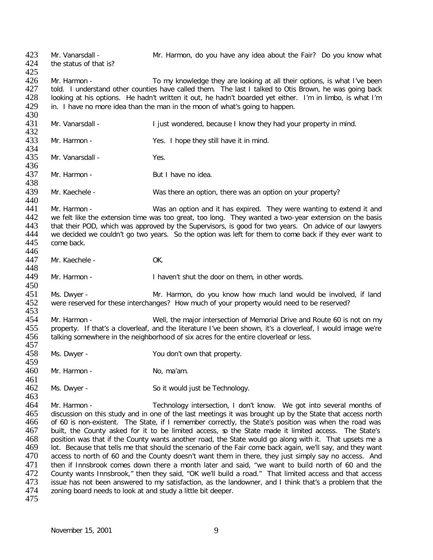423 Mr. Vanarsdall - Mr. Harmon, do you have any idea about the Fair? Do you know what 424 the status of that is? the status of that is? 425<br>426 426 Mr. Harmon - To my knowledge they are looking at all their options, is what I've been<br>427 told. I understand other counties have called them. The last I talked to Otis Brown, he was going back 427 told. I understand other counties have called them. The last I talked to Otis Brown, he was going back<br>428 looking at his options. He hadn't written it out, he hadn't boarded vet either. I'm in limbo, is what I'm 428 looking at his options. He hadn't written it out, he hadn't boarded yet either. I'm in limbo, is what I'm 429 in. I have no more idea than the man in the moon of what's going to happen. in. I have no more idea than the man in the moon of what's going to happen. 430<br>431 Mr. Vanarsdall - **I** just wondered, because I know they had your property in mind. 432<br>433 Mr. Harmon - Yes. I hope they still have it in mind. 434<br>435 Mr. Vanarsdall - Yes. 436<br>437 Mr. Harmon - But I have no idea. 438<br>439 Mr. Kaechele - Was there an option, there was an option on your property? 440<br>441 441 Mr. Harmon - Was an option and it has expired. They were wanting to extend it and 442 we felt like the extension time was too great, too long. They wanted a two-vear extension on the basis 442 we felt like the extension time was too great, too long. They wanted a two-year extension on the basis<br>443 that their POD, which was approved by the Supervisors, is good for two years. On advice of our lawyers 443 that their POD, which was approved by the Supervisors, is good for two years. On advice of our lawyers<br>444 ve decided we couldn't go two years. So the option was left for them to come back if they ever want to 444 we decided we couldn't go two years. So the option was left for them to come back if they ever want to 445 come back. come back. 446 447 Mr. Kaechele - OK. 448<br>449 Mr. Harmon - Thaven't shut the door on them, in other words. 450<br>451 451 Ms. Dwyer - The State Mr. Harmon, do you know how much land would be involved, if land 452 were reserved for these interchanges? How much of your property would need to be reserved? were reserved for these interchanges? How much of your property would need to be reserved? 453<br>454 454 Mr. Harmon - Well, the major intersection of Memorial Drive and Route 60 is not on my<br>455 property. If that's a cloverleaf, and the literature I've been shown, it's a cloverleaf, I would image we're 455 property. If that's a cloverleaf, and the literature I've been shown, it's a cloverleaf, I would image we're 456 talking somewhere in the neighborhood of six acres for the entire cloverleaf or less. talking somewhere in the neighborhood of six acres for the entire cloverleaf or less. 457<br>458 Ms. Dwyer - You don't own that property. 459<br>460 Mr. Harmon - No. ma'am. 461 462 Ms. Dwyer - So it would just be Technology. 463<br>464 464 Mr. Harmon - Technology intersection, I don't know. We got into several months of 465 discussion on this study and in one of the last meetings it was brought up by the State that access north discussion on this study and in one of the last meetings it was brought up by the State that access north 466 of 60 is non-existent. The State, if I remember correctly, the State's position was when the road was 467 built, the County asked for it to be limited access, so the State made it limited access. The State's 468 position was that if the County wants another road, the State would go along with it. That upsets me a 468 position was that if the County wants another road, the State would go along with it. That upsets me a<br>469 old. Because that tells me that should the scenario of the Fair come back again, we'll say, and they want 169 lot. Because that tells me that should the scenario of the Fair come back again, we'll say, and they want<br>170 access to north of 60 and the County doesn't want them in there, they just simply say no access. And access to north of 60 and the County doesn't want them in there, they just simply say no access. And 471 then if Innsbrook comes down there a month later and said, "we want to build north of 60 and the 472 County wants Innsbrook." then they said. "OK we'll build a road." That limited access and that access 472 County wants Innsbrook," then they said, "OK we'll build a road." That limited access and that access<br>473 issue has not been answered to my satisfaction, as the landowner, and I think that's a problem that the 473 issue has not been answered to my satisfaction, as the landowner, and I think that's a problem that the 474 zoning board needs to look at and study a little bit deeper. zoning board needs to look at and study a little bit deeper. 475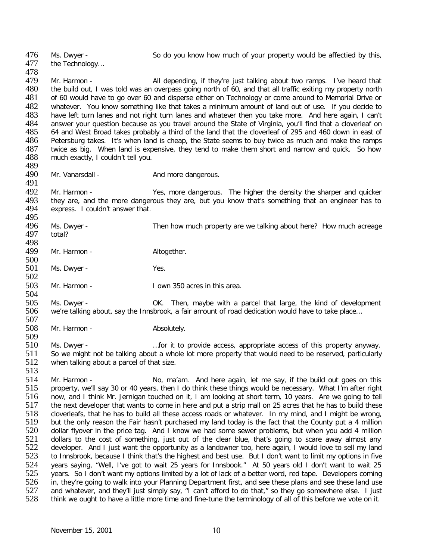476 Ms. Dwyer - So do you know how much of your property would be affectied by this,<br>477 the Technology... the Technology... 478<br>479 479 Mr. Harmon - All depending, if they're just talking about two ramps. I've heard that 480 the build out, I was told was an overpass going north of 60, and that all traffic exiting my property north 480 the build out, I was told was an overpass going north of 60, and that all traffic exiting my property north<br>481 of 60 would have to go over 60 and disperse either on Technology or come around to Memorial Drive or of 60 would have to go over 60 and disperse either on Technology or come around to Memorial Drive or 482 whatever. You know something like that takes a minimum amount of land out of use. If you decide to 483 have left turn lanes and not right turn lanes and not and whatever then you take more. And here again. I can't have left turn lanes and not right turn lanes and whatever then you take more. And here again, I can't 484 answer your question because as you travel around the State of Virginia, you'll find that a cloverleaf on<br>485 64 and West Broad takes probably a third of the land that the cloverleaf of 295 and 460 down in east of 485 64 and West Broad takes probably a third of the land that the cloverleaf of 295 and 460 down in east of 486 Petersburg takes. It's when land is cheap, the State seems to buy twice as much and make the ramps 486 Petersburg takes. It's when land is cheap, the State seems to buy twice as much and make the ramps<br>487 twice as big. When land is expensive, they tend to make them short and narrow and quick. So how 487 twice as big. When land is expensive, they tend to make them short and narrow and quick. So how 488 much exactly. I couldn't tell vou. much exactly, I couldn't tell you.

489<br>490

509

513

Mr. Vanarsdall - And more dangerous.

491<br>492 Absolut Mr. Harmon - The Mes, more dangerous. The higher the density the sharper and quicker<br>493 they are, and the more dangerous they are, but you know that's something that an engineer has to 493 they are, and the more dangerous they are, but you know that's something that an engineer has to 494 express. I couldn't answer that. express. I couldn't answer that.

495<br>496 496 Ms. Dwyer - Then how much property are we talking about here? How much acreage total? total?

498<br>499 Mr. Harmon - Altogether.

 $\frac{500}{501}$ Ms. Dwyer - Yes.

 $\frac{502}{503}$ Mr. Harmon - The South Cown 350 acres in this area.

504<br>505 505 Ms. Dwyer - OK. Then, maybe with a parcel that large, the kind of development 506 we're talking about, say the Innsbrook, a fair amount of road dedication would have to take place... we're talking about, say the Innsbrook, a fair amount of road dedication would have to take place...

507 Mr. Harmon - Absolutely.

510 Ms. Dwyer - …for it to provide access, appropriate access of this property anyway. 511 So we might not be talking about a whole lot more property that would need to be reserved, particularly  $512$  when talking about a parcel of that size. when talking about a parcel of that size.

514 Mr. Harmon - No, ma'am. And here again, let me say, if the build out goes on this<br>515 property, we'll say 30 or 40 years, then I do think these things would be necessary. What I'm after right 515 property, we'll say 30 or 40 years, then I do think these things would be necessary. What I'm after right 516 now, and I think Mr. Jernigan touched on it, I am looking at short term, 10 years. Are we going to tell 516 now, and I think Mr. Jernigan touched on it, I am looking at short term, 10 years. Are we going to tell<br>517 the next developer that wants to come in here and put a strip mall on 25 acres that he has to build these 517 the next developer that wants to come in here and put a strip mall on 25 acres that he has to build these<br>518 cloverleafs, that he has to build all these access roads or whatever. In my mind, and I might be wrong, 518 cloverleafs, that he has to build all these access roads or whatever. In my mind, and I might be wrong, 519 but the only reason the Fair hasn't purchased my land today is the fact that the County put a 4 million 519 but the only reason the Fair hasn't purchased my land today is the fact that the County put a 4 million 520 dollar flyover in the price tag. And I know we had some sewer problems, but when you add 4 million 520 dollar flyover in the price tag. And I know we had some sewer problems, but when you add 4 million<br>521 dollars to the cost of something, just out of the clear blue, that's going to scare away almost any 521 dollars to the cost of something, just out of the clear blue, that's going to scare away almost any<br>522 developer. And I just want the opportunity as a landowner too, here again, I would love to sell my land 522 developer. And I just want the opportunity as a landowner too, here again, I would love to sell my land<br>523 to Innsbrook, because I think that's the highest and best use. But I don't want to limit my options in five to Innsbrook, because I think that's the highest and best use. But I don't want to limit my options in five 524 years saying, "Well, I've got to wait 25 years for Innsbook." At 50 years old I don't want to wait 25<br>525 years. So I don't want my options limited by a lot of lack of a better word, red tape. Developers coming 525 years. So I don't want my options limited by a lot of lack of a better word, red tape. Developers coming<br>526 in. the v're going to walk into vour Planning Department first, and see these plans and see these land use 526 in, they're going to walk into your Planning Department first, and see these plans and see these land use<br>527 and whatever, and they'll just simply say, "I can't afford to do that," so they go somewhere else. I just 527 and whatever, and they'll just simply say, "I can't afford to do that," so they go somewhere else. I just 528 think we ought to have a little more time and fine-tune the terminology of all of this before we vote on it. think we ought to have a little more time and fine-tune the terminology of all of this before we vote on it.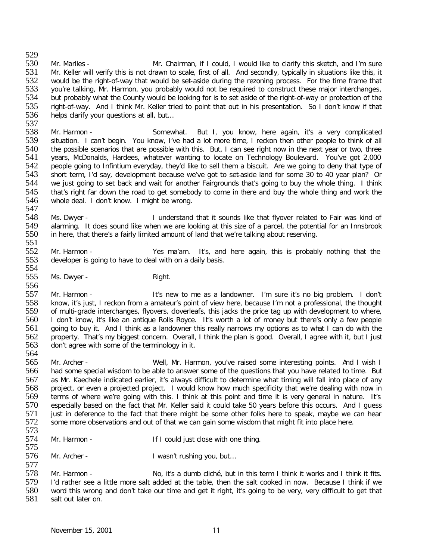529<br>530 530 Mr. Marlles - Mr. Chairman, if I could, I would like to clarify this sketch, and I'm sure<br>531 Mr. Keller will verify this is not drawn to scale, first of all. And secondly, typically in situations like this, it Mr. Keller will verify this is not drawn to scale, first of all. And secondly, typically in situations like this, it 532 would be the right-of-way that would be set-aside during the rezoning process. For the time frame that 533 you're talking, Mr. Harmon, you probably would not be required to construct these major interchanges, 533 you're talking, Mr. Harmon, you probably would not be required to construct these major interchanges,<br>534 but probably what the County would be looking for is to set aside of the right-of-way or protection of the 534 but probably what the County would be looking for is to set aside of the right-of-way or protection of the<br>535 right-of-way. And I think Mr. Keller tried to point that out in his presentation. So I don't know if that 535 right-of-way. And I think Mr. Keller tried to point that out in his presentation. So I don't know if that 536 helps clarify your questions at all, but... helps clarify your questions at all, but...

537<br>538 538 Mr. Harmon - Somewhat. But I, you know, here again, it's a very complicated situation. I can't begin. You know, I've had a lot more time, I reckon then other people to think of all 539 situation. I can't begin. You know, I've had a lot more time, I reckon then other people to think of all<br>540 the possible scenarios that are possible with this. But. I can see right now in the next vear or two, three 540 the possible scenarios that are possible with this. But, I can see right now in the next year or two, three<br>541 years, McDonalds, Hardees, whatever wanting to locate on Technology Boulevard. You've got 2,000 541 years, McDonalds, Hardees, whatever wanting to locate on Technology Boulevard. You've got 2,000<br>542 people going to Infintium everyday, they'd like to sell them a biscuit. Are we going to deny that type of 542 people going to Infintium everyday, they'd like to sell them a biscuit. Are we going to deny that type of<br>543 short term, I'd say, development because we've got to set-aside land for some 30 to 40 year plan? Or 543 short term, I'd say, development because we've got to set-aside land for some 30 to 40 year plan? Or<br>544 we just going to set back and wait for another Fairgrounds that's going to buy the whole thing. I think 544 we just going to set back and wait for another Fairgrounds that's going to buy the whole thing. I think<br>545 that's right far down the road to get somebody to come in there and buy the whole thing and work the 545 that's right far down the road to get somebody to come in there and buy the whole thing and work the 546 whole deal. I don't know. I might be wrong. whole deal. I don't know. I might be wrong.

547<br>548 548 Ms. Dwyer - I understand that it sounds like that flyover related to Fair was kind of a parcel, the potential for an Innsbrook 549 alarming. It does sound like when we are looking at this size of a parcel, the potential for an Innsbrook<br>550 in here, that there's a fairly limited amount of land that we're talking about reserving. in here, that there's a fairly limited amount of land that we're talking about reserving.

551<br>552 552 Mr. Harmon - Yes ma'am. It's, and here again, this is probably nothing that the 553 developer is going to have to deal with on a daily basis. developer is going to have to deal with on a daily basis.

554<br>555 Ms. Dwyer - Right.

556<br>557 557 Mr. Harmon - It's new to me as a landowner. I'm sure it's no big problem. I don't<br>558 know, it's just, I reckon from a amateur's point of view here, because I'm not a professional, the thought 558 know, it's just, I reckon from a amateur's point of view here, because I'm not a professional, the thought<br>559 of multi-grade interchanges, flyovers, cloverleafs, this jacks the price tag up with development to where, 559 of multi-grade interchanges, flyovers, cloverleafs, this jacks the price tag up with development to where,<br>560 I don't know, it's like an antique Rolls Rovce. It's worth a lot of money but there's only a few people 560 I don't know, it's like an antique Rolls Royce. It's worth a lot of money but there's only a few people 561 aoing to buy it. And I think as a landowner this really narrows my options as to what I can do with the 561 going to buy it. And I think as a landowner this really narrows my options as to what I can do with the 562 property. That's my biggest concern. Overall, I think the blan is good. Overall, I agree with it, but I just property. That's my biggest concern. Overall, I think the plan is good. Overall, I agree with it, but I just 563 don't agree with some of the terminology in it.

564<br>565 565 Mr. Archer - Well, Mr. Harmon, you've raised some interesting points. And I wish I<br>566 had some special wisdom to be able to answer some of the questions that you have related to time. But had some special wisdom to be able to answer some of the questions that you have related to time. But 567 as Mr. Kaechele indicated earlier, it's always difficult to determine what timing will fall into place of any<br>568 project, or even a projected project. I would know how much specificity that we're dealing with now in 568 project, or even a projected project. I would know how much specificity that we're dealing with now in<br>569 terms of where we're going with this. I think at this point and time it is very general in nature. It's 569 terms of where we're going with this. I think at this point and time it is very general in nature. It's<br>570 especially based on the fact that Mr. Keller said it could take 50 years before this occurs. And I quess 570 especially based on the fact that Mr. Keller said it could take 50 years before this occurs. And I guess<br>571 iust in deference to the fact that there might be some other folks here to speak, maybe we can hear 571 just in deference to the fact that there might be some other folks here to speak, maybe we can hear 572 some more observations and out of that we can quin some wisdom that might fit into place here. some more observations and out of that we can gain some wisdom that might fit into place here.

- 573<br>574 Mr. Harmon - The Sould just close with one thing.
- 575<br>576 Mr. Archer - I wasn't rushing you, but...

577<br>578 578 Mr. Harmon - No, it's a dumb cliché, but in this term I think it works and I think it fits.<br>579 I'd rather see a little more salt added at the table, then the salt cooked in now. Because I think if we 579 I'd rather see a little more salt added at the table, then the salt cooked in now. Because I think if we<br>580 word this wrong and don't take our time and get it right, it's going to be very, very difficult to get that 580 word this wrong and don't take our time and get it right, it's going to be very, very difficult to get that 581 salt out later on. salt out later on.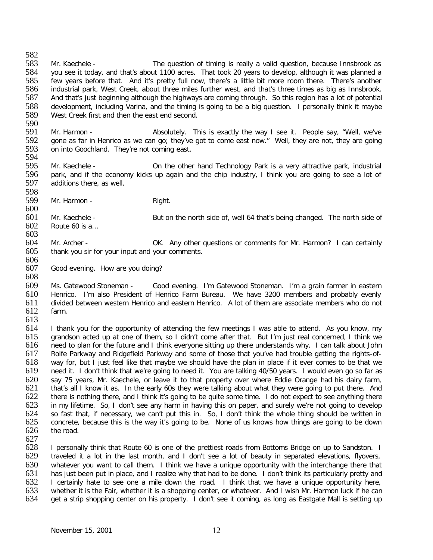582<br>583 583 Mr. Kaechele - The question of timing is really a valid question, because Innsbrook as<br>584 vou see it todav, and that's about 1100 acres. That took 20 vears to develop, although it was planned a you see it today, and that's about 1100 acres. That took 20 years to develop, although it was planned a 585 few years before that. And it's pretty full now, there's a little bit more room there. There's another<br>586 industrial park, West Creek, about three miles further west, and that's three times as big as Innsbrook. 586 industrial park, West Creek, about three miles further west, and that's three times as big as Innsbrook.<br>587 And that's just beginning although the highways are coming through. So this region has a lot of potential 587 And that's just beginning although the highways are coming through. So this region has a lot of potential 588 development, including Varina, and the timing is going to be a big question. I personally think it maybe 389 West Creek first and then the east end second. West Creek first and then the east end second.

- 590<br>591 591 Mr. Harmon - **Absolutely.** This is exactly the way I see it. People say, "Well, we've say, "Well, we've say, "Well, we've say, "Well, we've say, "Well, we've say, well, they are going 592 gone as far in Henrico as we can go; they've got to come east now." Well, they are not, they are going 593 on into Goochland. They're not coming east. on into Goochland. They're not coming east.
- 594<br>595 595 Mr. Kaechele - On the other hand Technology Park is a very attractive park, industrial<br>596 park, and if the economy kicks up again and the chip industry, I think you are going to see a lot of 596 park, and if the economy kicks up again and the chip industry, I think you are going to see a lot of 597 additions there, as well. additions there, as well.
- 598<br>599 Mr. Harmon - Right.
- 600
- 601 Mr. Kaechele But on the north side of, well 64 that's being changed. The north side of 602 Route 60 is a... Route 60 is  $a...$
- 603
- 604 Mr. Archer OK. Any other questions or comments for Mr. Harmon? I can certainly 605 thank you sir for your input and your comments.
- 606<br>607 Good evening. How are you doing? 608

609 Ms. Gatewood Stoneman - Good evening. I'm Gatewood Stoneman. I'm a grain farmer in eastern<br>610 Henrico. I'm also President of Henrico Farm Bureau. We have 3200 members and probably evenly 610 Henrico. I'm also President of Henrico Farm Bureau. We have 3200 members and probably evenly 611 divided between western Henrico and eastern Henrico. A lot of them are associate members who do not 612 farm. farm.

613<br>614 I thank you for the opportunity of attending the few meetings I was able to attend. As you know, my 615 grandson acted up at one of them, so I didn't come after that. But I'm just real concerned, I think we 616 need to plan for the future and I think everyone sitting up there understands why. I can talk about John<br>617 Rolfe Parkway and Ridgefield Parkway and some of those that you've had trouble getting the rights-of-Rolfe Parkway and Ridgefield Parkway and some of those that you've had trouble getting the rights-of-618 way for, but I just feel like that maybe we should have the plan in place if it ever comes to be that we<br>619 need it. I don't think that we're going to need it. You are talking 40/50 years. I would even go so far as heed it. I don't think that we're going to need it. You are talking 40/50 years. I would even go so far as 620 say 75 years, Mr. Kaechele, or leave it to that property over where Eddie Orange had his dairy farm,<br>621 that's all I know it as. In the early 60s they were talking about what they were going to put there. And 621 that's all I know it as. In the early 60s they were talking about what they were going to put there. And<br>622 there is nothing there, and I think it's going to be quite some time. I do not expect to see anything there 622 there is nothing there, and I think it's going to be quite some time. I do not expect to see anything there<br>623 in my lifetime. So, I don't see any harm in having this on paper, and surely we're not going to develop 623 in my lifetime. So, I don't see any harm in having this on paper, and surely we're not going to develop 624 so fast that, if necessary, we can't put this in. So, I don't think the whole thing should be written in 624 so fast that, if necessary, we can't put this in. So, I don't think the whole thing should be written in<br>625 concrete, because this is the way it's going to be. None of us knows how things are going to be down 625 concrete, because this is the way it's going to be. None of us knows how things are going to be down the road.

627<br>628 628 I personally think that Route 60 is one of the prettiest roads from Bottoms Bridge on up to Sandston. I<br>629 I traveled it a lot in the last month, and I don't see a lot of beauty in separated elevations, flyovers, traveled it a lot in the last month, and I don't see a lot of beauty in separated elevations, flyovers, 630 whatever you want to call them. I think we have a unique opportunity with the interchange there that 631 has just been put in place, and I realize why that had to be done. I don't think its particularly pretty and 631 has just been put in place, and I realize why that had to be done. I don't think its particularly pretty and<br>632 I certainly hate to see one a mile down the road. I think that we have a unique opportunity here, 632 I certainly hate to see one a mile down the road. I think that we have a unique opportunity here,<br>633 whether it is the Fair, whether it is a shopping center, or whatever. And I wish Mr. Harmon luck if he can 633 whether it is the Fair, whether it is a shopping center, or whatever. And I wish Mr. Harmon luck if he can<br>634 oet a strip shopping center on his property. I don't see it coming, as long as Eastgate Mall is setting up get a strip shopping center on his property. I don't see it coming, as long as Eastgate Mall is setting up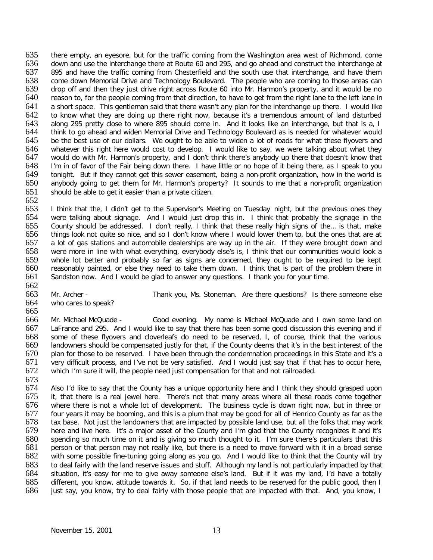635 there empty, an eyesore, but for the traffic coming from the Washington area west of Richmond, come<br>636 down and use the interchange there at Route 60 and 295, and go ahead and construct the interchange at 636 down and use the interchange there at Route 60 and 295, and go ahead and construct the interchange at 637 895 and have the traffic coming from Chesterfield and the south use that interchange, and have them 895 and have the traffic coming from Chesterfield and the south use that interchange, and have them 638 come down Memorial Drive and Technology Boulevard. The people who are coming to those areas can<br>639 drop off and then they just drive right across Route 60 into Mr. Harmon's property, and it would be no 639 drop off and then they just drive right across Route 60 into Mr. Harmon's property, and it would be no<br>640 reason to, for the people coming from that direction, to have to get from the right lane to the left lane in reason to, for the people coming from that direction, to have to get from the right lane to the left lane in 641 a short space. This gentleman said that there wasn't any plan for the interchange up there. I would like<br>642 to know what they are doing up there right now, because it's a tremendous amount of land disturbed 642 to know what they are doing up there right now, because it's a tremendous amount of land disturbed<br>643 along 295 pretty close to where 895 should come in. And it looks like an interchange, but that is a, I 643 along 295 pretty close to where 895 should come in. And it looks like an interchange, but that is a, I<br>644 think to go ahead and widen Memorial Drive and Technology Boulevard as is needed for whatever would 644 think to go ahead and widen Memorial Drive and Technology Boulevard as is needed for whatever would<br>645 be the best use of our dollars. We ought to be able to widen a lot of roads for what these flyovers and 645 be the best use of our dollars. We ought to be able to widen a lot of roads for what these flyovers and 646 whatever this right here would cost to develop. I would like to say, we were talking about what they 646 whatever this right here would cost to develop. I would like to say, we were talking about what they<br>647 would do with Mr. Harmon's property, and I don't think there's anybody up there that doesn't know that would do with Mr. Harmon's property, and I don't think there's anybody up there that doesn't know that 648 I'm in of favor of the Fair being down there. I have little or no hope of it being there, as I speak to you<br>649 tonight. But if they cannot get this sewer easement, being a non-profit organization, how in the world is 649 tonight. But if they cannot get this sewer easement, being a non-profit organization, how in the world is<br>650 anybody going to get them for Mr. Harmon's property? It sounds to me that a non-profit organization anybody going to get them for Mr. Harmon's property? It sounds to me that a non-profit organization 651 should be able to get it easier than a private citizen.

652<br>653 653 I think that the, I didn't get to the Supervisor's Meeting on Tuesday night, but the previous ones they<br>654 were talking about signage. And I would just drop this in. I think that probably the signage in the were talking about signage. And I would just drop this in. I think that probably the signage in the 655 County should be addressed. I don't really, I think that these really high signs of the... is that, make<br>656 things look not quite so nice, and so I don't know where I would lower them to, but the ones that are at 656 things look not quite so nice, and so I don't know where I would lower them to, but the ones that are at 657 a lot of gas stations and automobile dealerships are way up in the air. If they were brought down and a lot of gas stations and automobile dealerships are way up in the air. If they were brought down and 658 were more in line with what everything, everybody else's is, I think that our communities would look a 659 whole lot better and probably so far as signs are concerned, they ought to be required to be kept reasonably painted, or else they need to take them down. I think that is part of the problem there in 661 Sandston now. And I would be glad to answer any questions. I thank you for your time.

- 662<br>663
- 663 Mr. Archer Thank you, Ms. Stoneman. Are there questions? Is there someone else who cares to speak? who cares to speak?
- 

665<br>666 Mr. Michael McQuade - Good evening. My name is Michael McQuade and I own some land on 667 LaFrance and 295. And I would like to say that there has been some good discussion this evening and if 668 some of these flyovers and cloverleafs do need to be reserved, I, of course, think that the various 669 landowners should be compensated justly for that, if the County deems that it's in the best interest of the<br>670 plan for those to be reserved. I have been through the condemnation proceedings in this State and it's a 670 plan for those to be reserved. I have been through the condemnation proceedings in this State and it's a<br>671 very difficult process, and I've not be very satisfied. And I would just say that if that has to occur here, 671 very difficult process, and I've not be very satisfied. And I would just say that if that has to occur here,<br>672 which I'm sure it will, the people need just compensation for that and not railroaded. which I'm sure it will, the people need just compensation for that and not railroaded.

673<br>674

674 Also I'd like to say that the County has a unique opportunity here and I think they should grasped upon<br>675 it, that there is a real jewel here. There's not that many areas where all these roads come together it, that there is a real jewel here. There's not that many areas where all these roads come together 676 where there is not a whole lot of development. The business cycle is down right now, but in three or 677 four years it may be booming, and this is a plum that may be good for all of Henrico County as far as the four years it may be booming, and this is a plum that may be good for all of Henrico County as far as the 678 tax base. Not just the landowners that are impacted by possible land use, but all the folks that may work<br>679 here and live here. It's a major asset of the County and I'm glad that the County recognizes it and it's 679 here and live here. It's a major asset of the County and I'm glad that the County recognizes it and it's 680 spending so much time on it and is giving so much thought to it. I'm sure there's particulars that this 680 spending so much time on it and is giving so much thought to it. I'm sure there's particulars that this 681 person or that person may not really like, but there is a need to move forward with it in a broad sense 681 person or that person may not really like, but there is a need to move forward with it in a broad sense<br>682 with some possible fine-tuning going along as you go. And I would like to think that the County will try with some possible fine-tuning going along as you go. And I would like to think that the County will try 683 to deal fairly with the land reserve issues and stuff. Although my land is not particularly impacted by that<br>684 situation, it's easy for me to give away someone else's land. But if it was my land, I'd have a totally 684 situation, it's easy for me to give away someone else's land. But if it was my land, I'd have a totally 685 different, vou know, attitude towards it. So, if that land needs to be reserved for the public good, then I 685 different, you know, attitude towards it. So, if that land needs to be reserved for the public good, then I<br>686 iust say, you know, try to deal fairly with those people that are impacted with that. And, you know, I just say, you know, try to deal fairly with those people that are impacted with that. And, you know, I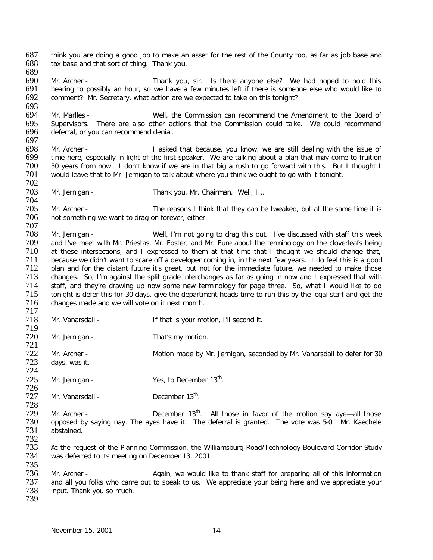687 think you are doing a good job to make an asset for the rest of the County too, as far as job base and 688 tax base and that sort of thing. Thank you. tax base and that sort of thing. Thank you. 689 690 Mr. Archer - Thank you, sir. Is there anyone else? We had hoped to hold this 691 hearing to possibly an hour, so we have a few minutes left if there is someone else who would like to 691 hearing to possibly an hour, so we have a few minutes left if there is someone else who would like to 692 comment? Mr. Secretary, what action are we expected to take on this tonight? comment? Mr. Secretary, what action are we expected to take on this tonight? 693<br>694 694 Mr. Marlles - Well, the Commission can recommend the Amendment to the Board of 695 Supervisors. There are also other actions that the Commission could take. We could recommend 695 Supervisors. There are also other actions that the Commission could take. We could recommend 696 deferral, or vou can recommend denial. deferral, or you can recommend denial. 697<br>698 698 Mr. Archer - I asked that because, you know, we are still dealing with the issue of time here, especially in light of the first speaker. We are talking about a plan that may come to fruition 699 time here, especially in light of the first speaker. We are talking about a plan that may come to fruition<br>60 50 years from now. I don't know if we are in that big a rush to go forward with this. But I thought I 700 50 years from now. I don't know if we are in that big a rush to go forward with this. But I thought I<br>701 would leave that to Mr. Jernigan to talk about where you think we ought to go with it tonight. would leave that to Mr. Jernigan to talk about where you think we ought to go with it tonight. 702<br>703 Mr. Jernigan - Thank you, Mr. Chairman. Well, I... 704 705 Mr. Archer - The reasons I think that they can be tweaked, but at the same time it is 706 not something we want to drag on forever, either. not something we want to drag on forever, either. 707 TOS Mr. Jernigan - Well, I'm not going to drag this out. I've discussed with staff this week<br>
709 and I've meet with Mr. Priestas, Mr. Foster, and Mr. Eure about the terminology on the cloverleafs being 709 and I've meet with Mr. Priestas, Mr. Foster, and Mr. Eure about the terminology on the cloverleafs being<br>710 at these intersections, and I expressed to them at that time that I thought we should change that. at these intersections, and I expressed to them at that time that I thought we should change that, 711 because we didn't want to scare off a developer coming in, in the next few years. I do feel this is a good<br>712 plan and for the distant future it's great, but not for the immediate future, we needed to make those 712 plan and for the distant future it's great, but not for the immediate future, we needed to make those<br>713 changes. So, I'm against the split grade interchanges as far as going in now and I expressed that with changes. So, I'm against the split grade interchanges as far as going in now and I expressed that with 714 staff, and they're drawing up now some new terminology for page three. So, what I would like to do<br>715 tonight is defer this for 30 days, give the department heads time to run this by the legal staff and get the 715 tonight is defer this for 30 days, give the department heads time to run this by the legal staff and get the<br>716 changes made and we will vote on it next month. changes made and we will vote on it next month. 717<br>718 Mr. Vanarsdall - The Muslim of that is your motion, I'll second it. 719 Mr. Jernigan - That's my motion. 721 722 Mr. Archer - Motion made by Mr. Jernigan, seconded by Mr. Vanarsdall to defer for 30<br>723 days, was it. days, was it. 724  $725$  Mr. Jernigan - Yes, to December  $13<sup>th</sup>$ . 726<br>727 Mr. Vanarsdall -  $December 13<sup>th</sup>$ . 728 Mr. Archer -  $\cdot$  December 13<sup>th</sup>. All those in favor of the motion say aye—all those 730 opposed by saving nay. The aves have it. The deferral is granted. The vote was 5-0. Mr. Kaechele 730 opposed by saying nay. The ayes have it. The deferral is granted. The vote was 5-0. Mr. Kaechele<br>731 abstained. abstained. 732 733 At the request of the Planning Commission, the Williamsburg Road/Technology Boulevard Corridor Study<br>734 was deferred to its meeting on December 13, 2001. was deferred to its meeting on December 13, 2001. 735 736 Mr. Archer - Again, we would like to thank staff for preparing all of this information<br>737 and all you folks who came out to speak to us. We appreciate your being here and we appreciate your 737 and all you folks who came out to speak to us. We appreciate your being here and we appreciate your 738 input. Thank you so much. input. Thank you so much. 739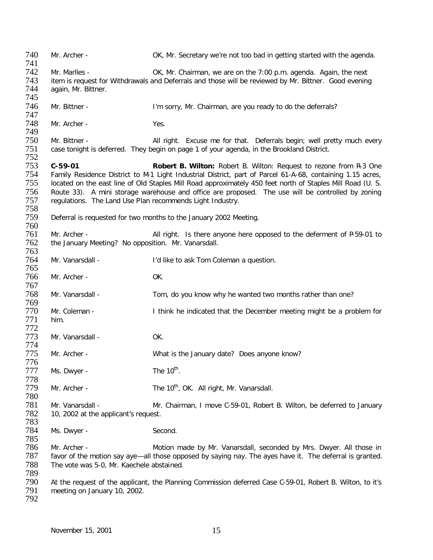740 Mr. Archer - OK, Mr. Secretary we're not too bad in getting started with the agenda. 741 Mr. Marlles - **CK, Mr. Chairman, we are on the 7:00 p.m. agenda.** Again, the next 743 item is request for Withdrawals and Deferrals and those will be reviewed by Mr. Bittner. Good evening 744 again, Mr. Bittner. again, Mr. Bittner. 745 746 Mr. Bittner - I'm sorry, Mr. Chairman, are you ready to do the deferrals? 747 Mr. Archer - Yes. 749 750 Mr. Bittner - **All right.** Excuse me for that. Deferrals begin; well pretty much every 751 case tonight is deferred. They begin on page 1 of your agenda, in the Brookland District. case tonight is deferred. They begin on page 1 of your agenda, in the Brookland District. 752 753 **C-59-01 Robert B. Wilton:** Robert B. Wilton: Request to rezone from R-3 One 754 Family Residence District to M-1 Light Industrial District, part of Parcel 61-A-68, containing 1.15 acres,<br>755 Iocated on the east line of Old Staples Mill Road approximately 450 feet north of Staples Mill Road (U. S. located on the east line of Old Staples Mill Road approximately 450 feet north of Staples Mill Road (U. S. 756 Route 33). A mini storage warehouse and office are proposed. The use will be controlled by zoning 757 requisitions. The Land Use Plan recommends Light Industry. regulations. The Land Use Plan recommends Light Industry. 758 Deferral is requested for two months to the January 2002 Meeting. 760 761 Mr. Archer - All right. Is there anyone here opposed to the deferment of P-59-01 to 762 the January Meeting? No opposition. Mr. Vanarsdall. 763 764 Mr. Vanarsdall - I'd like to ask Tom Coleman a question. 765<br>766 766 Mr. Archer - OK. 767<br>768 Mr. Vanarsdall - Tom, do you know why he wanted two months rather than one? 769 Mr. Coleman - Think he indicated that the December meeting might be a problem for 771 him. 772 Mr. Vanarsdall - OK. 774 Mr. Archer - What is the January date? Does anyone know? 776 Ms. Dwyer - The  $10^{th}$ . 778 Mr. Archer - The 10<sup>th</sup>, OK. All right, Mr. Vanarsdall. 780 781 Mr. Vanarsdall - Mr. Chairman, I move C-59-01, Robert B. Wilton, be deferred to January<br>782 10. 2002 at the applicant's request. 10, 2002 at the applicant's request. 783 Ms. Dwyer - Second. 785 786 Mr. Archer - **Motion made by Mr. Vanarsdall, seconded by Mrs. Dwyer. All those in**<br>787 favor of the motion say aye—all those opposed by saying nay. The ayes haye it. The deferral is granted. favor of the motion say aye—all those opposed by saying nay. The ayes have it. The deferral is granted. 788 The vote was 5-0, Mr. Kaechele abstained. 789 790 At the request of the applicant, the Planning Commission deferred Case C-59-01, Robert B. Wilton, to it's 791 meeting on January 10, 2002. meeting on January 10, 2002. 792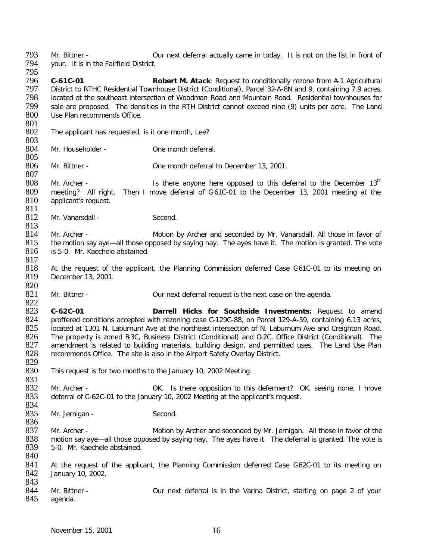793 Mr. Bittner - Our next deferral actually came in today. It is not on the list in front of vour. It is in the Fairfield District. your. It is in the Fairfield District.

795<br>796 796 **C-61C-01 Robert M. Atack**: Request to conditionally rezone from A-1 Agricultural 797 District to RTHC Residential Townhouse District (Conditional), Parcel 32-A-8N and 9, containing 7.9 acres,<br>798 Iocated at the southeast intersection of Woodman Road and Mountain Road. Residential townhouses for 798 located at the southeast intersection of Woodman Road and Mountain Road. Residential townhouses for<br>799 sale are proposed. The densities in the RTH District cannot exceed nine (9) units per acre. The Land 799 sale are proposed. The densities in the RTH District cannot exceed nine (9) units per acre. The Land Use Plan recommends Office.

- $\frac{801}{802}$ The applicant has requested, is it one month, Lee?
- 803 Mr. Householder - **One month deferral.**

805<br>806 Mr. Bittner - Cone month deferral to December 13, 2001.

 $\frac{807}{808}$ Mr. Archer -  $\blacksquare$  Is there anyone here opposed to this deferral to the December 13<sup>th</sup> 809 meeting? All right. Then I move deferral of C-61C-01 to the December 13, 2001 meeting at the 810 applicant's request. applicant's request.

- $\frac{811}{812}$ Mr. Vanarsdall - Second.
- $\frac{813}{814}$ 814 Mr. Archer - Motion by Archer and seconded by Mr. Vanarsdall. All those in favor of 815 the motion say aye—all those opposed by saying nay. The ayes have it. The motion is granted. The vote the motion say aye—all those opposed by saying nay. The ayes have it. The motion is granted. The vote 816 is 5-0. Mr. Kaechele abstained.
- $\frac{817}{818}$ 818 At the request of the applicant, the Planning Commission deferred Case G61C-01 to its meeting on 819 December 13, 2001. December 13, 2001.
- 820 Mr. Bittner - Cur next deferral request is the next case on the agenda.

822<br>823 823 **C-62C-01 Darrell Hicks for Southside Investments:** Request to amend 824 proffered conditions accepted with rezoning case C-129C-88, on Parcel 129-A-59, containing 6.13 acres, 825 located at 1301 N. Laburnum Ave at the northeast intersection of N. Laburnum Ave and Creighton Road. 825 located at 1301 N. Laburnum Ave at the northeast intersection of N. Laburnum Ave and Creighton Road.<br>826 The property is zoned B3C, Business District (Conditional) and O-2C, Office District (Conditional). The 826 The property is zoned B3C, Business District (Conditional) and O-2C, Office District (Conditional). The 827 amendment is related to building materials, building design, and permitted uses. The Land Use Plan 827 amendment is related to building materials, building design, and permitted uses. The Land Use Plan 828 recommends Office. The site is also in the Airport Safety Overlay District. recommends Office. The site is also in the Airport Safety Overlay District.

- 829<br>830 This request is for two months to the January 10, 2002 Meeting.
- 831<br>832 832 Mr. Archer - OK. Is there opposition to this deferment? OK, seeing none, I move deferral of C-62C-01 to the January 10, 2002 Meeting at the applicant's request. deferral of C-62C-01 to the January 10, 2002 Meeting at the applicant's request.
- 834<br>835 Mr. Jernigan - Second.
- 836<br>837 837 Mr. Archer - Motion by Archer and seconded by Mr. Jernigan. All those in favor of the 838 motion say ave - all those opposed by saying nay. The aves have it. The deferral is granted. The vote is 838 motion say aye—all those opposed by saying nay. The ayes have it. The deferral is granted. The vote is 839 5-0. Mr. Kaechele abstained. 5-0. Mr. Kaechele abstained. 840
- 841 At the request of the applicant, the Planning Commission deferred Case G62C-01 to its meeting on 842 January 10, 2002. January 10, 2002.
- 843<br>844 844 Mr. Bittner - Same Cour next deferral is in the Varina District, starting on page 2 of your verses agenda. agenda.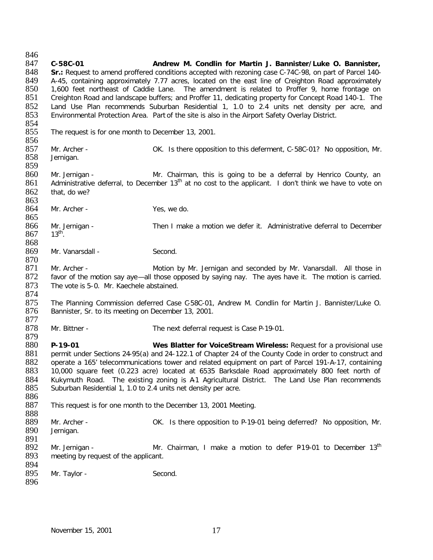846<br>847 847 **C-58C-01 Andrew M. Condlin for Martin J. Bannister/Luke O. Bannister, Sr.:** Request to amend proffered conditions accepted with rezoning case C-74C-98, on part of Parcel 140-849 A-45, containing approximately 7.77 acres, located on the east line of Creighton Road approximately<br>850 1,600 feet northeast of Caddie Lane. The amendment is related to Proffer 9, home frontage on 850 1,600 feet northeast of Caddie Lane. The amendment is related to Proffer 9, home frontage on 851 Creighton Road and landscape buffers; and Proffer 11, dedicating property for Concept Road 140-1. The Creighton Road and landscape buffers; and Proffer 11, dedicating property for Concept Road 140-1. The 852 Land Use Plan recommends Suburban Residential 1, 1.0 to 2.4 units net density per acre, and 853 Environmental Protection Area. Part of the site is also in the Airport Safety Overlay District. Environmental Protection Area. Part of the site is also in the Airport Safety Overlay District. 854<br>855 The request is for one month to December 13, 2001. 856<br>857 857 Mr. Archer - Same Corporsition to this deferment, C-58C-01? No opposition, Mr.<br>858 Dernigan. Jernigan. 859<br>860 Mr. Jernigan - The Mr. Chairman, this is going to be a deferral by Henrico County, an 861 Administrative deferral, to December 13<sup>th</sup> at no cost to the applicant. I don't think we have to vote on 862 that, do we? 863 864 Mr. Archer - Yes, we do. 865 866 Mr. Jernigan - Then I make a motion we defer it. Administrative deferral to December 867 13<sup>th</sup>.  $13<sup>th</sup>$ . 868 869 Mr. Vanarsdall - Second. 870<br>871 871 Mr. Archer - Motion by Mr. Jernigan and seconded by Mr. Vanarsdall. All those in 1872 favor of the motion say aye—all those opposed by saying nay. The ayes have it. The motion is carried. favor of the motion say aye—all those opposed by saying nay. The ayes have it. The motion is carried. 873 The vote is 5-0. Mr. Kaechele abstained. 874<br>875 875 The Planning Commission deferred Case C-58C-01, Andrew M. Condlin for Martin J. Bannister/Luke O.<br>876 Bannister, Sr. to its meeting on December 13, 2001. Bannister, Sr. to its meeting on December 13, 2001. 877 Mr. Bittner - The next deferral request is Case P-19-01. 879 880 **P-19-01 Wes Blatter for VoiceStream Wireless:** Request for a provisional use<br>881 permit under Sections 24-95(a) and 24-122.1 of Chapter 24 of the County Code in order to construct and 881 permit under Sections 24-95(a) and 24-122.1 of Chapter 24 of the County Code in order to construct and<br>882 operate a 165' telecommunications tower and related equipment on part of Parcel 191-A-17, containing 882 operate a 165' telecommunications tower and related equipment on part of Parcel 191-A-17, containing 883 10,000 square feet (0.223 acre) located at 6535 Barksdale Road approximately 800 feet north of 884 Kukymuth Road. The existing zoning is A1 Agricultural District. The Land Use Plan recommends<br>885 Suburban Residential 1, 1.0 to 2.4 units net density per acre. Suburban Residential 1, 1.0 to 2.4 units net density per acre. 886<br>887 This request is for one month to the December 13, 2001 Meeting. 888 889 Mr. Archer - OK. Is there opposition to P-19-01 being deferred? No opposition, Mr. 890 Jernigan. Jernigan. 891<br>892 Mr. Jernigan - Mr. Chairman, I make a motion to defer P19-01 to December  $13<sup>th</sup>$  893 meeting by request of the applicant. meeting by request of the applicant. 894<br>895 Mr. Taylor - Second. 896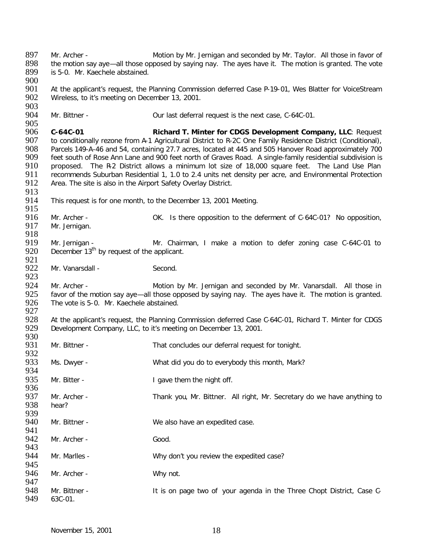897 Mr. Archer - Motion by Mr. Jernigan and seconded by Mr. Taylor. All those in favor of 898 the motion say ave-all those opposed by saving nay. The aves have it. The motion is granted. The vote 898 the motion say aye—all those opposed by saying nay. The ayes have it. The motion is granted. The vote 899 is 5-0. Mr. Kaechele abstained. is 5-0. Mr. Kaechele abstained. 900<br>901 901 At the applicant's request, the Planning Commission deferred Case P-19-01, Wes Blatter for VoiceStream<br>902 Wireless, to it's meeting on December 13, 2001. Wireless, to it's meeting on December 13, 2001. 903<br>904 Mr. Bittner - Cur last deferral request is the next case, C-64C-01. 905<br>906 906 **C-64C-01 Richard T. Minter for CDGS Development Company, LLC**: Request 907 to conditionally rezone from A-1 Agricultural District to R-2C One Family Residence District (Conditional),<br>908 Parcels 149-A-46 and 54, containing 27.7 acres, located at 445 and 505 Hanover Road approximately 700 908 Parcels 149-A-46 and 54, containing 27.7 acres, located at 445 and 505 Hanover Road approximately 700<br>909 feet south of Rose Ann Lane and 900 feet north of Graves Road. A single-family residential subdivision is 909 feet south of Rose Ann Lane and 900 feet north of Graves Road. A single-family residential subdivision is<br>910 proposed. The R2 District allows a minimum lot size of 18.000 square feet. The Land Use Plan 910 proposed. The R-2 District allows a minimum lot size of 18,000 square feet. The Land Use Plan<br>911 recommends Suburban Residential 1, 1.0 to 2.4 units net density per acre, and Environmental Protection 911 recommends Suburban Residential 1, 1.0 to 2.4 units net density per acre, and Environmental Protection<br>912 Area. The site is also in the Airport Safety Overlay District. Area. The site is also in the Airport Safety Overlay District. 913<br>914 This request is for one month, to the December 13, 2001 Meeting. 915<br>916 916 Mr. Archer - OK. Is there opposition to the deferment of C-64C-01? No opposition, 917 Mr. Jernigan. Mr. Jernigan. 918<br>919 919 Mr. Jernigan - Mr. Chairman, I make a motion to defer zoning case C-64C-01 to 920 December 13<sup>th</sup> by request of the applicant. December  $13<sup>th</sup>$  by request of the applicant. 921<br>922 Mr. Vanarsdall - Second. 923<br>924 924 Mr. Archer - **Motion by Mr. Jernigan and seconded by Mr. Vanarsdall.** All those in 925 favor of the motion say ave —all those opposed by saving nay. The aves have it. The motion is granted. 925 favor of the motion say aye—all those opposed by saying nay. The ayes have it. The motion is granted.<br>926 The vote is 5-0. Mr. Kaechele abstained. The vote is 5-0. Mr. Kaechele abstained. 927<br>928 928 At the applicant's request, the Planning Commission deferred Case C-64C-01, Richard T. Minter for CDGS<br>929 Development Company. LLC, to it's meeting on December 13, 2001. Development Company, LLC, to it's meeting on December 13, 2001. 930<br>931 Mr. Bittner - That concludes our deferral request for tonight. 932<br>933 Ms. Dwyer - What did you do to everybody this month, Mark? 934 935 Mr. Bitter - I gave them the night off. 936<br>937 937 Mr. Archer - Thank you, Mr. Bittner. All right, Mr. Secretary do we have anything to 938 hear? hear? 939<br>940 Mr. Bittner - We also have an expedited case. 941<br>942 Mr. Archer - Good. 943<br>944 Mr. Marlles - Why don't you review the expedited case? 945<br>946 Mr. Archer - Why not. 947<br>948 948 Mr. Bittner - It is on page two of your agenda in the Three Chopt District, Case C-<br>949 63C-01. 63C-01.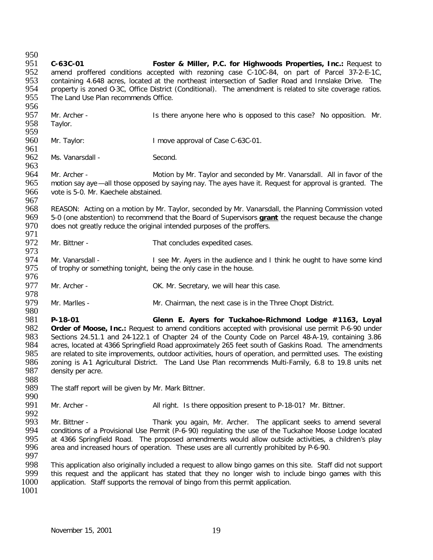950<br>951 951 **C-63C-01 Foster & Miller, P.C. for Highwoods Properties, Inc.:** Request to amend proffered conditions accepted with rezoning case C-10C-84, on part of Parcel 37-2-E-1C, 953 containing 4.648 acres, located at the northeast intersection of Sadler Road and Innslake Drive. The 954 property is zoned 0-3C, Office District (Conditional). The amendment is related to site coverage ratios. 954 property is zoned O-3C, Office District (Conditional). The amendment is related to site coverage ratios.<br>955 The Land Use Plan recommends Office. The Land Use Plan recommends Office. 956<br>957 957 Mr. Archer - Same Is there anyone here who is opposed to this case? No opposition. Mr. 958 Taylor. Taylor. 959<br>960 Mr. Taylor: I move approval of Case C-63C-01. 961<br>962 Ms. Vanarsdall - Second. 963<br>964 964 Mr. Archer - Motion by Mr. Taylor and seconded by Mr. Vanarsdall. All in favor of the 965 motion say aye —all those opposed by saying nay. The ayes have it. Request for approval is granted. The motion say aye —all those opposed by saying nay. The ayes have it. Request for approval is granted. The 966 vote is 5-0. Mr. Kaechele abstained. 967<br>968 968 REASON: Acting on a motion by Mr. Taylor, seconded by Mr. Vanarsdall, the Planning Commission voted 969 5-0<br>969 5-0 (one abstention) to recommend that the Board of Supervisors **grant** the request because the change 969 5-0 (one abstention) to recommend that the Board of Supervisors **grant** the request because the change<br>970 does not greatly reduce the original intended purposes of the proffers. does not greatly reduce the original intended purposes of the proffers. 971<br>972 Mr. Bittner - That concludes expedited cases. 973<br>974 974 Mr. Vanarsdall - I see Mr. Ayers in the audience and I think he ought to have some kind<br>975 of trophy or something tonight, being the only case in the house. of trophy or something tonight, being the only case in the house. 976<br>977 Mr. Archer - CK. Mr. Secretary, we will hear this case. 978<br>979 Mr. Marlles - Mr. Chairman, the next case is in the Three Chopt District. 980<br>981 981 **P-18-01 Glenn E. Ayers for Tuckahoe-Richmond Lodge #1163, Loyal** 982 **Order of Moose, Inc.:** Request to amend conditions accepted with provisional use permit P-6-90 under 983 Sections 24.51.1 and 24-122.1 of Chapter 24 of the County Code on Parcel 48-A-19, containing 3.86 983 Sections 24.51.1 and 24-122.1 of Chapter 24 of the County Code on Parcel 48-A-19, containing 3.86 984 acres, located at 4366 Springfield Road approximately 265 feet south of Gaskins Road. The amendments 985 are related to site improvements, outdoor activities, hours of operation, and permitted uses. The existing 985 are related to site improvements, outdoor activities, hours of operation, and permitted uses. The existing<br>986 zoning is A-1 Agricultural District. The Land Use Plan recommends Multi-Family. 6.8 to 19.8 units net 986 zoning is A-1 Agricultural District. The Land Use Plan recommends Multi-Family, 6.8 to 19.8 units net 987 density per acre. density per acre. 988<br>989 The staff report will be given by Mr. Mark Bittner. 990<br>991 Mr. Archer - All right. Is there opposition present to P-18-01? Mr. Bittner. 992<br>993 993 Mr. Bittner - Thank you again, Mr. Archer. The applicant seeks to amend several<br>994 conditions of a Provisional Use Permit (P-6-90) regulating the use of the Tuckahoe Moose Lodge located 994 conditions of a Provisional Use Permit (P-6-90) regulating the use of the Tuckahoe Moose Lodge located<br>995 at 4366 Springfield Road. The proposed amendments would allow outside activities, a children's play 995 at 4366 Springfield Road. The proposed amendments would allow outside activities, a children's play<br>996 area and increased hours of operation. These uses are all currently prohibited by P-6-90. area and increased hours of operation. These uses are all currently prohibited by P-6-90. 997 998 This application also originally included a request to allow bingo games on this site. Staff did not support 999 this request and the applicant has stated that they no longer wish to include bingo games with this 999 this request and the applicant has stated that they no longer wish to include bingo games with this 1000 application. Staff supports the removal of bingo from this permit application. application. Staff supports the removal of bingo from this permit application. 1001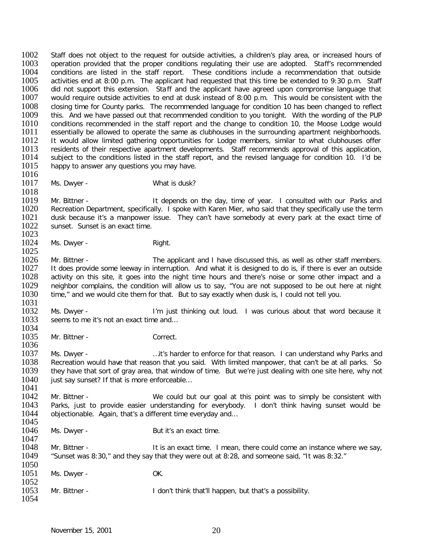1002 Staff does not object to the request for outside activities, a children's play area, or increased hours of<br>1003 operation provided that the proper conditions regulating their use are adopted. Staff's recommended 1003 operation provided that the proper conditions regulating their use are adopted. Staff's recommended 1004 conditions are listed in the staff report. These conditions include a recommendation that outside 1004 conditions are listed in the staff report. These conditions include a recommendation that outside 1005 activities end at 8:00 p.m. The applicant had requested that this time be extended to 9:30 p.m. Staff 1005 activities end at 8:00 p.m. The applicant had requested that this time be extended to 9:30 p.m. Staff 10<br>1006 ald not support this extension. Staff and the applicant have agreed upon compromise language that 1006 did not support this extension. Sta ff and the applicant have agreed upon compromise language that 1007 would require outside activities to end at dusk instead of 8:00 p.m. This would be consistent with the 1007 would require outside activities to end at dusk instead of 8:00 p.m. This would be consistent with the 1008 closing time for County parks. The recommended language for condition 10 has been changed to reflect 1008 closing time for County parks. The recommended language for condition 10 has been changed to reflect 1009 this. And we have passed out that recommended condition to you tonight. With the wording of the PUP 1009 this. And we have passed out that recommended condition to you tonight. With the wording of the PUP 1010 conditions recommended in the staff report and the change to condition 10, the Moose Lodge would 1010 conditions recommended in the staff report and the change to condition 10, the Moose Lodge would 1011 essentially be allowed to operate the same as clubhouses in the surrounding apartment neighborhoods. 1011 essentially be allowed to operate the same as clubhouses in the surrounding apartment neighborhoods.<br>1012 1t would allow limited gathering opportunities for Lodge members, similar to what clubhouses offer 1012 It would allow limited gathering opportunities for Lodge members, similar to what clubhouses offer<br>1013 Fresidents of their respective apartment developments. Staff recommends approval of this application. 1013 residents of their respective apartment developments. Staff recommends approval of this application,<br>1014 subject to the conditions listed in the staff report, and the revised language for condition 10. I'd be 1014 subject to the conditions listed in the staff report, and the revised language for condition 10. I'd be 1015 happy to answer any questions you may have. happy to answer any questions you may have.

- 1016<br>1017
- Ms. Dwyer What is dusk?

1018<br>1019 1019 Mr. Bittner - The Stepends on the day, time of year. I consulted with our Parks and<br>1020 Recreation Department, specifically, I spoke with Karen Mier, who said that they specifically use the term 1020 Recreation Department, specifically. I spoke with Karen Mier, who said that they specifically use the term<br>1021 Alusk because it's a manpower issue. They can't have somebody at every park at the exact time of 1021 dusk because it's a manpower issue. They can't have somebody at every park at the exact time of 1022 sunset. Sunset is an exact time. sunset. Sunset is an exact time.

 $\frac{1023}{1024}$ Ms. Dwyer - Right.

 $\frac{1025}{1026}$ 1026 Mr. Bittner - The applicant and I have discussed this, as well as other staff members.<br>1027 It does provide some leeway in interruption. And what it is designed to do is, if there is ever an outside 1027 It does provide some leeway in interruption. And what it is designed to do is, if there is ever an outside<br>1028 activity on this site, it goes into the night time hours and there's noise or some other impact and a 1028 activity on this site, it goes into the night time hours and there's noise or some other impact and a<br>1029 neighbor complains, the condition will allow us to say, "You are not supposed to be out here at night 1029 neighbor complains, the condition will allow us to say, "You are not supposed to be out here at night 1030 time." and we would cite them for that. But to say exactly when dusk is. I could not tell you. time," and we would cite them for that. But to say exactly when dusk is, I could not tell you.

1031<br>1032 1032 Ms. Dwyer - I'm just thinking out loud. I was curious about that word because it 1033 seems to me it's not an exact time and... seems to me it's not an exact time and...

1034<br>1035 Mr. Bittner - Correct.

1036<br>1037 1037 Ms. Dwyer - …..it's harder to enforce for that reason. I can understand why Parks and<br>1038 Recreation would have that reason that you said. With limited manpower, that can't be at all parks. So 1038 Recreation would have that reason that you said. With limited manpower, that can't be at all parks. So 1039 they have that sort of grav area, that window of time. But we're just dealing with one site here, why not they have that sort of gray area, that window of time. But we're just dealing with one site here, why not 1040 just say sunset? If that is more enforceable...

1041 1042 Mr. Bittner - We could but our goal at this point was to simply be consistent with 1043 Parks, just to provide easier understanding for everybody. I don't think having sunset would be 1043 Parks, just to provide easier understanding for everybody. I don't think having sunset would be 1044 objectionable. Again that's a different time everyday and... objectionable. Again, that's a different time everyday and...

- 1045<br>1046
	- Ms. Dwyer But it's an exact time.

1047<br>1048 1048 Mr. Bittner - It is an exact time. I mean, there could come an instance where we say,<br>1049 Sunset was 8:30." and they say that they were out at 8:28, and someone said, "It was 8:32." "Sunset was 8:30," and they say that they were out at 8:28, and someone said, "It was 8:32." 1050

| 1051 | Ms. Dwyer - | OK. |
|------|-------------|-----|
|      |             |     |

1052<br>1053 Mr. Bittner - This is a possibility. I don't think that'll happen, but that's a possibility. 1054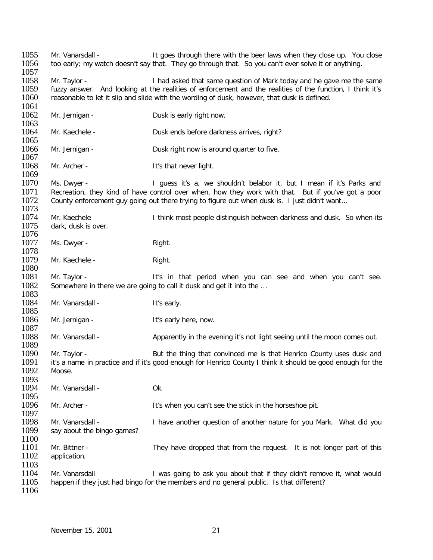1055 Mr. Vanarsdall - It goes through there with the beer laws when they close up. You close 1056 to early: my watch doesn't say that. They go through that. So you can't ever solve it or anything. too early; my watch doesn't say that. They go through that. So you can't ever solve it or anything.  $\frac{1057}{1058}$ 1058 Mr. Taylor - I had asked that same question of Mark today and he gave me the same<br>1059 fuzzy answer. And looking at the realities of enforcement and the realities of the function. I think it's 1059 fuzzy answer. And looking at the realities of enforcement and the realities of the function, I think it's<br>1060 reasonable to let it slip and slide with the wording of dusk, however, that dusk is defined. reasonable to let it slip and slide with the wording of dusk, however, that dusk is defined. 1061<br>1062 Mr. Jernigan - Dusk is early right now. 1063<br>1064 Mr. Kaechele - Dusk ends before darkness arrives, right? 1065<br>1066 Mr. Jernigan - Dusk right now is around quarter to five. 1067<br>1068 Mr. Archer - It's that never light. 1069<br>1070 1070 Ms. Dwyer - I guess it's a, we shouldn't belabor it, but I mean if it's Parks and<br>1071 Recreation, they kind of have control over when, how they work with that. But if you've got a poor 1071 Recreation, they kind of have control over when, how they work with that. But if you've got a poor 1072 County enforcement quy going out there trying to figure out when dusk is. I just didn't want... County enforcement guy going out there trying to figure out when dusk is. I just didn't want... 1073<br>1074 1074 Mr. Kaechele I ithink most people distinguish between darkness and dusk. So when its<br>1075 idark. dusk is over. dark, dusk is over. 1076<br>1077 Ms. Dwyer - Right. 1078<br>1079 Mr. Kaechele - Right. 1080<br>1081 1081 Mr. Taylor - It's in that period when you can see and when you can't see.<br>1082 Somewhere in there we are going to call it dusk and get it into the ... Somewhere in there we are going to call it dusk and get it into the ... 1083<br>1084 Mr. Vanarsdall - It's early. 1085<br>1086 Mr. Jernigan - The Muslim History here, now. 1087<br>1088 Mr. Vanarsdall - Apparently in the evening it's not light seeing until the moon comes out. 1089<br>1090 1090 Mr. Taylor - Sut the thing that convinced me is that Henrico County uses dusk and<br>1091 it's a name in practice and if it's good enough for Henrico County I think it should be good enough for the 1091 it's a name in practice and if it's good enough for Henrico County I think it should be good enough for the 1092 Moose. 1093<br>1094 Mr. Vanarsdall - Ok. 1095<br>1096 Mr. Archer - The It's when you can't see the stick in the horseshoe pit. 1097<br>1098 1098 Mr. Vanarsdall - I have another question of another nature for you Mark. What did you<br>1099 Sav about the bingo games? say about the bingo games? 1100<br>1101 1101 Mr. Bittner - They have dropped that from the request. It is not longer part of this 1102 application. application. 1103<br>1104 1104 Mr. Vanarsdall I was going to ask you about that if they didn't remove it, what would<br>1105 happen if they just had bingo for the members and no general public. Is that different? happen if they just had bingo for the members and no general public. Is that different? 1106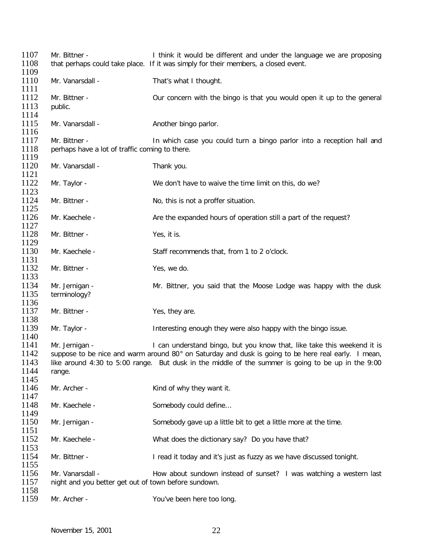| 1107<br>1108         | Mr. Bittner -                                                            | I think it would be different and under the language we are proposing<br>that perhaps could take place. If it was simply for their members, a closed event.                                               |
|----------------------|--------------------------------------------------------------------------|-----------------------------------------------------------------------------------------------------------------------------------------------------------------------------------------------------------|
| 1109<br>1110<br>1111 | Mr. Vanarsdall -                                                         | That's what I thought.                                                                                                                                                                                    |
| 1112<br>1113<br>1114 | Mr. Bittner -<br>public.                                                 | Our concern with the bingo is that you would open it up to the general                                                                                                                                    |
| 1115<br>1116         | Mr. Vanarsdall -                                                         | Another bingo parlor.                                                                                                                                                                                     |
| 1117<br>1118         | Mr. Bittner -<br>perhaps have a lot of traffic coming to there.          | In which case you could turn a bingo parlor into a reception hall and                                                                                                                                     |
| 1119                 |                                                                          |                                                                                                                                                                                                           |
| 1120<br>1121         | Mr. Vanarsdall -                                                         | Thank you.                                                                                                                                                                                                |
| 1122<br>1123         | Mr. Taylor -                                                             | We don't have to waive the time limit on this, do we?                                                                                                                                                     |
| 1124<br>1125         | Mr. Bittner -                                                            | No, this is not a proffer situation.                                                                                                                                                                      |
| 1126<br>1127         | Mr. Kaechele -                                                           | Are the expanded hours of operation still a part of the request?                                                                                                                                          |
| 1128<br>1129         | Mr. Bittner -                                                            | Yes, it is.                                                                                                                                                                                               |
| 1130<br>1131         | Mr. Kaechele -                                                           | Staff recommends that, from 1 to 2 o'clock.                                                                                                                                                               |
| 1132<br>1133         | Mr. Bittner -                                                            | Yes, we do.                                                                                                                                                                                               |
| 1134<br>1135<br>1136 | Mr. Jernigan -<br>terminology?                                           | Mr. Bittner, you said that the Moose Lodge was happy with the dusk                                                                                                                                        |
| 1137<br>1138         | Mr. Bittner -                                                            | Yes, they are.                                                                                                                                                                                            |
| 1139<br>1140         | Mr. Taylor -                                                             | Interesting enough they were also happy with the bingo issue.                                                                                                                                             |
| 1141                 | Mr. Jernigan -                                                           | I can understand bingo, but you know that, like take this weekend it is                                                                                                                                   |
| 1142<br>1143         |                                                                          | suppose to be nice and warm around 80° on Saturday and dusk is going to be here real early. I mean,<br>like around 4:30 to 5:00 range. But dusk in the middle of the summer is going to be up in the 9:00 |
| 1144<br>1145         | range.                                                                   |                                                                                                                                                                                                           |
| 1146<br>1147         | Mr. Archer -                                                             | Kind of why they want it.                                                                                                                                                                                 |
| 1148<br>1149         | Mr. Kaechele -                                                           | Somebody could define                                                                                                                                                                                     |
| 1150<br>1151         | Mr. Jernigan -                                                           | Somebody gave up a little bit to get a little more at the time.                                                                                                                                           |
| 1152<br>1153         | Mr. Kaechele -                                                           | What does the dictionary say? Do you have that?                                                                                                                                                           |
| 1154<br>1155         | Mr. Bittner -                                                            | I read it today and it's just as fuzzy as we have discussed tonight.                                                                                                                                      |
| 1156<br>1157<br>1158 | Mr. Vanarsdall -<br>night and you better get out of town before sundown. | How about sundown instead of sunset? I was watching a western last                                                                                                                                        |
| 1159                 | Mr. Archer -                                                             | You've been here too long.                                                                                                                                                                                |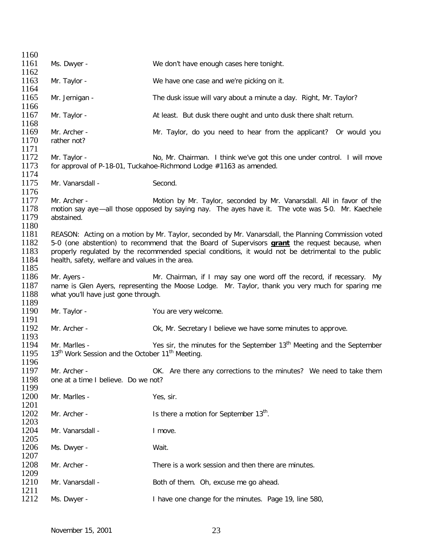| 1160 |                                                                         |                                                                                                        |
|------|-------------------------------------------------------------------------|--------------------------------------------------------------------------------------------------------|
| 1161 | Ms. Dwyer -                                                             | We don't have enough cases here tonight.                                                               |
| 1162 |                                                                         |                                                                                                        |
| 1163 | Mr. Taylor -                                                            | We have one case and we're picking on it.                                                              |
| 1164 |                                                                         |                                                                                                        |
| 1165 | Mr. Jernigan -                                                          | The dusk issue will vary about a minute a day. Right, Mr. Taylor?                                      |
| 1166 |                                                                         |                                                                                                        |
| 1167 | Mr. Taylor -                                                            | At least. But dusk there ought and unto dusk there shalt return.                                       |
| 1168 |                                                                         |                                                                                                        |
| 1169 | Mr. Archer -                                                            | Mr. Taylor, do you need to hear from the applicant? Or would you                                       |
| 1170 | rather not?                                                             |                                                                                                        |
| 1171 |                                                                         |                                                                                                        |
| 1172 | Mr. Taylor -                                                            | No, Mr. Chairman. I think we've got this one under control. I will move                                |
| 1173 |                                                                         | for approval of P-18-01, Tuckahoe-Richmond Lodge #1163 as amended.                                     |
| 1174 |                                                                         |                                                                                                        |
| 1175 | Mr. Vanarsdall -                                                        | Second.                                                                                                |
| 1176 |                                                                         |                                                                                                        |
| 1177 | Mr. Archer -                                                            | Motion by Mr. Taylor, seconded by Mr. Vanarsdall. All in favor of the                                  |
| 1178 |                                                                         | motion say aye—all those opposed by saying nay. The ayes have it. The vote was 5-0. Mr. Kaechele       |
| 1179 | abstained.                                                              |                                                                                                        |
| 1180 |                                                                         |                                                                                                        |
| 1181 |                                                                         | REASON: Acting on a motion by Mr. Taylor, seconded by Mr. Vanarsdall, the Planning Commission voted    |
| 1182 |                                                                         | 5-0 (one abstention) to recommend that the Board of Supervisors <b>grant</b> the request because, when |
| 1183 |                                                                         | properly regulated by the recommended special conditions, it would not be detrimental to the public    |
| 1184 | health, safety, welfare and values in the area.                         |                                                                                                        |
| 1185 |                                                                         |                                                                                                        |
| 1186 | Mr. Ayers -                                                             | Mr. Chairman, if I may say one word off the record, if recessary. My                                   |
| 1187 |                                                                         | name is Glen Ayers, representing the Moose Lodge. Mr. Taylor, thank you very much for sparing me       |
| 1188 | what you'll have just gone through.                                     |                                                                                                        |
| 1189 |                                                                         |                                                                                                        |
| 1190 | Mr. Taylor -                                                            | You are very welcome.                                                                                  |
| 1191 |                                                                         |                                                                                                        |
| 1192 | Mr. Archer -                                                            | Ok, Mr. Secretary I believe we have some minutes to approve.                                           |
| 1193 |                                                                         |                                                                                                        |
| 1194 | Mr. Marlles -                                                           | Yes sir, the minutes for the September 13 <sup>th</sup> Meeting and the September                      |
| 1195 | 13 <sup>th</sup> Work Session and the October 11 <sup>th</sup> Meeting. |                                                                                                        |
| 1196 |                                                                         |                                                                                                        |
| 1197 | Mr. Archer -                                                            | OK. Are there any corrections to the minutes? We need to take them                                     |
| 1198 | one at a time I believe. Do we not?                                     |                                                                                                        |
| 1199 |                                                                         |                                                                                                        |
| 1200 | Mr. Marlles -                                                           | Yes, sir.                                                                                              |
| 1201 |                                                                         |                                                                                                        |
| 1202 | Mr. Archer -                                                            | Is there a motion for September 13 <sup>th</sup> .                                                     |
| 1203 |                                                                         |                                                                                                        |
| 1204 | Mr. Vanarsdall -                                                        | I move.                                                                                                |
| 1205 |                                                                         |                                                                                                        |
| 1206 | Ms. Dwyer -                                                             | Wait.                                                                                                  |
| 1207 |                                                                         |                                                                                                        |
| 1208 | Mr. Archer -                                                            | There is a work session and then there are minutes.                                                    |
| 1209 |                                                                         |                                                                                                        |
| 1210 | Mr. Vanarsdall -                                                        | Both of them. Oh, excuse me go ahead.                                                                  |
| 1211 |                                                                         |                                                                                                        |
| 1212 | Ms. Dwyer -                                                             | I have one change for the minutes. Page 19, line 580,                                                  |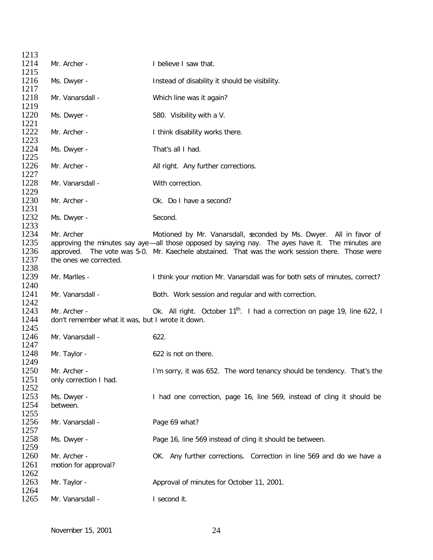| 1213         |                                                  |                                                                                                  |
|--------------|--------------------------------------------------|--------------------------------------------------------------------------------------------------|
| 1214         | Mr. Archer -                                     | I believe I saw that.                                                                            |
| 1215         |                                                  |                                                                                                  |
| 1216<br>1217 | Ms. Dwyer -                                      | Instead of disability it should be visibility.                                                   |
| 1218         | Mr. Vanarsdall -                                 | Which line was it again?                                                                         |
| 1219         |                                                  |                                                                                                  |
| 1220<br>1221 | Ms. Dwyer -                                      | 580. Visibility with a V.                                                                        |
| 1222<br>1223 | Mr. Archer -                                     | I think disability works there.                                                                  |
| 1224<br>1225 | Ms. Dwyer -                                      | That's all I had.                                                                                |
| 1226<br>1227 | Mr. Archer -                                     | All right. Any further corrections.                                                              |
| 1228<br>1229 | Mr. Vanarsdall -                                 | With correction.                                                                                 |
| 1230<br>1231 | Mr. Archer -                                     | Ok. Do I have a second?                                                                          |
| 1232<br>1233 | Ms. Dwyer -                                      | Second.                                                                                          |
| 1234         | Mr. Archer                                       | Motioned by Mr. Vanarsdall, seconded by Ms. Dwyer. All in favor of                               |
| 1235         |                                                  | approving the minutes say aye—all those opposed by saying nay. The ayes have it. The minutes are |
| 1236         |                                                  | approved. The vote was 5-0. Mr. Kaechele abstained. That was the work session there. Those were  |
| 1237<br>1238 | the ones we corrected.                           |                                                                                                  |
| 1239<br>1240 | Mr. Marlles -                                    | I think your motion Mr. Vanarsdall was for both sets of minutes, correct?                        |
| 1241<br>1242 | Mr. Vanarsdall -                                 | Both. Work session and regular and with correction.                                              |
| 1243         | Mr. Archer -                                     | Ok. All right. October 11 <sup>th</sup> . I had a correction on page 19, line 622, I             |
| 1244         | don't remember what it was, but I wrote it down. |                                                                                                  |
| 1245         |                                                  |                                                                                                  |
| 1246<br>1247 | Mr. Vanarsdall -                                 | 622.                                                                                             |
| 1248         | Mr. Taylor -                                     | 622 is not on there.                                                                             |
| 1249         |                                                  |                                                                                                  |
| 1250<br>1251 | Mr. Archer -                                     | I'm sorry, it was 652. The word tenancy should be tendency. That's the                           |
| 1252         | only correction I had.                           |                                                                                                  |
| 1253         | Ms. Dwyer -                                      | I had one correction, page 16, line 569, instead of cling it should be                           |
| 1254         | between.                                         |                                                                                                  |
| 1255         |                                                  |                                                                                                  |
| 1256<br>1257 | Mr. Vanarsdall -                                 | Page 69 what?                                                                                    |
| 1258<br>1259 | Ms. Dwyer -                                      | Page 16, line 569 instead of cling it should be between.                                         |
| 1260         | Mr. Archer -                                     | OK. Any further corrections. Correction in line 569 and do we have a                             |
| 1261         | motion for approval?                             |                                                                                                  |
| 1262         |                                                  |                                                                                                  |
| 1263<br>1264 | Mr. Taylor -                                     | Approval of minutes for October 11, 2001.                                                        |
| 1265         | Mr. Vanarsdall -                                 | I second it.                                                                                     |